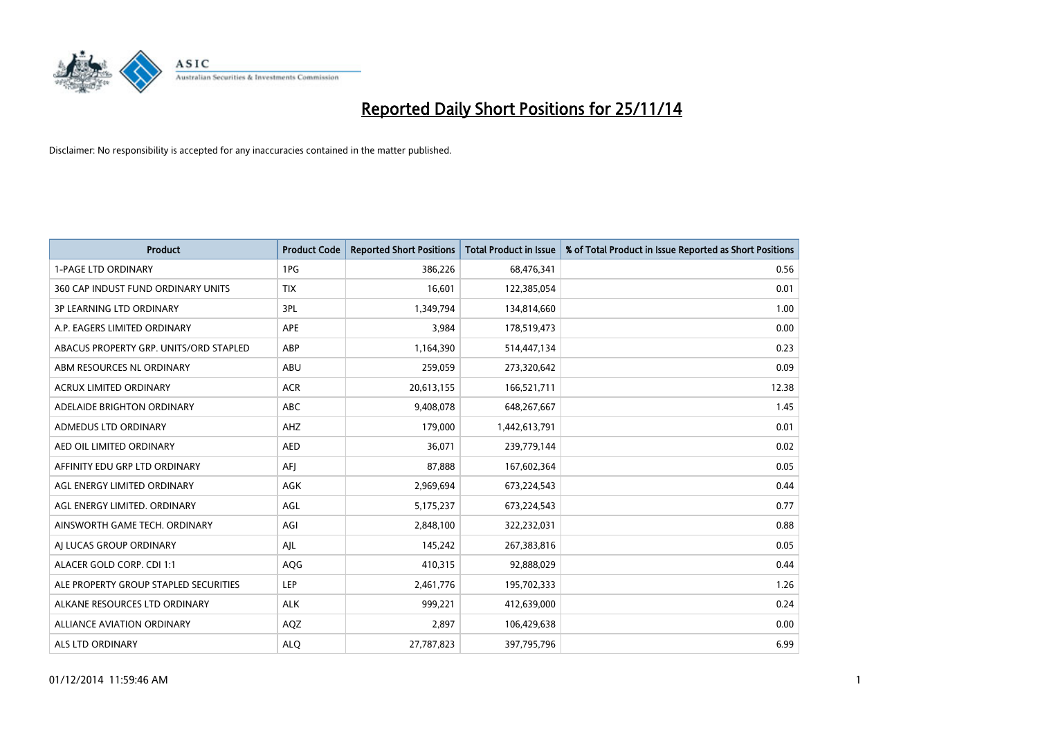

| <b>Product</b>                         | <b>Product Code</b> | <b>Reported Short Positions</b> | <b>Total Product in Issue</b> | % of Total Product in Issue Reported as Short Positions |
|----------------------------------------|---------------------|---------------------------------|-------------------------------|---------------------------------------------------------|
| <b>1-PAGE LTD ORDINARY</b>             | 1PG                 | 386,226                         | 68,476,341                    | 0.56                                                    |
| 360 CAP INDUST FUND ORDINARY UNITS     | <b>TIX</b>          | 16,601                          | 122,385,054                   | 0.01                                                    |
| <b>3P LEARNING LTD ORDINARY</b>        | 3PL                 | 1,349,794                       | 134,814,660                   | 1.00                                                    |
| A.P. EAGERS LIMITED ORDINARY           | <b>APE</b>          | 3,984                           | 178,519,473                   | 0.00                                                    |
| ABACUS PROPERTY GRP. UNITS/ORD STAPLED | ABP                 | 1,164,390                       | 514,447,134                   | 0.23                                                    |
| ABM RESOURCES NL ORDINARY              | ABU                 | 259,059                         | 273,320,642                   | 0.09                                                    |
| <b>ACRUX LIMITED ORDINARY</b>          | <b>ACR</b>          | 20,613,155                      | 166,521,711                   | 12.38                                                   |
| ADELAIDE BRIGHTON ORDINARY             | <b>ABC</b>          | 9,408,078                       | 648,267,667                   | 1.45                                                    |
| ADMEDUS LTD ORDINARY                   | AHZ                 | 179,000                         | 1,442,613,791                 | 0.01                                                    |
| AED OIL LIMITED ORDINARY               | <b>AED</b>          | 36,071                          | 239,779,144                   | 0.02                                                    |
| AFFINITY EDU GRP LTD ORDINARY          | AFI                 | 87,888                          | 167,602,364                   | 0.05                                                    |
| AGL ENERGY LIMITED ORDINARY            | AGK                 | 2,969,694                       | 673,224,543                   | 0.44                                                    |
| AGL ENERGY LIMITED. ORDINARY           | AGL                 | 5,175,237                       | 673,224,543                   | 0.77                                                    |
| AINSWORTH GAME TECH. ORDINARY          | AGI                 | 2,848,100                       | 322,232,031                   | 0.88                                                    |
| AI LUCAS GROUP ORDINARY                | AJL                 | 145,242                         | 267,383,816                   | 0.05                                                    |
| ALACER GOLD CORP. CDI 1:1              | AQG                 | 410,315                         | 92,888,029                    | 0.44                                                    |
| ALE PROPERTY GROUP STAPLED SECURITIES  | LEP                 | 2,461,776                       | 195,702,333                   | 1.26                                                    |
| ALKANE RESOURCES LTD ORDINARY          | <b>ALK</b>          | 999,221                         | 412,639,000                   | 0.24                                                    |
| ALLIANCE AVIATION ORDINARY             | AQZ                 | 2,897                           | 106,429,638                   | 0.00                                                    |
| ALS LTD ORDINARY                       | <b>ALO</b>          | 27,787,823                      | 397,795,796                   | 6.99                                                    |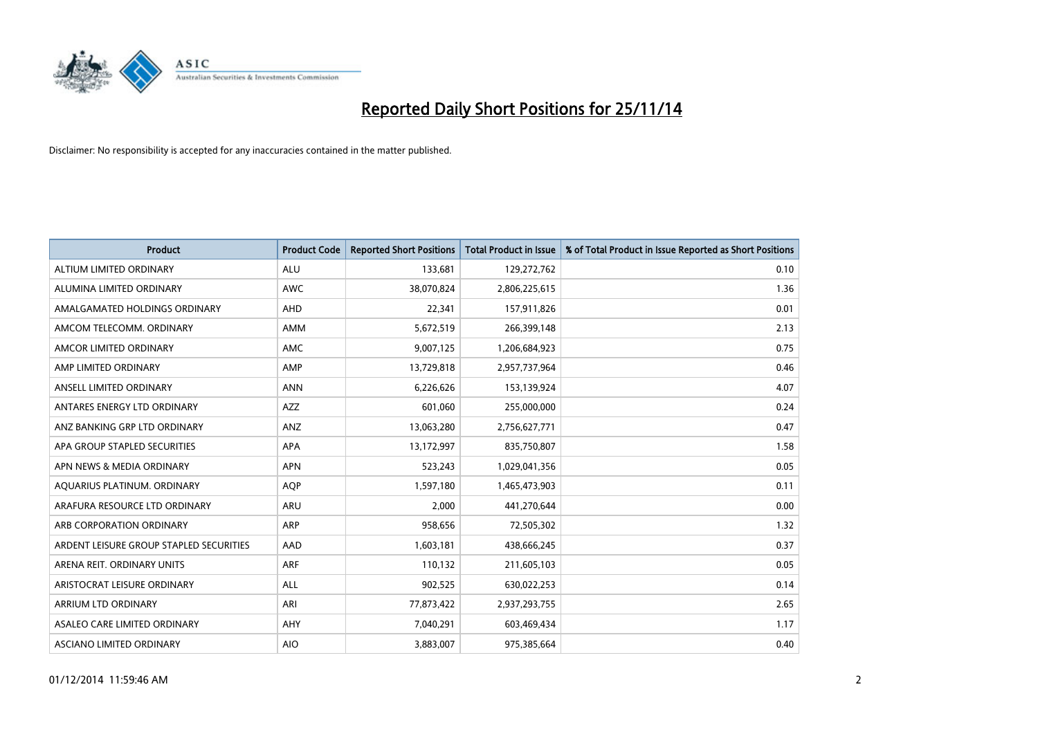

| <b>Product</b>                          | <b>Product Code</b> | <b>Reported Short Positions</b> | <b>Total Product in Issue</b> | % of Total Product in Issue Reported as Short Positions |
|-----------------------------------------|---------------------|---------------------------------|-------------------------------|---------------------------------------------------------|
| ALTIUM LIMITED ORDINARY                 | <b>ALU</b>          | 133,681                         | 129,272,762                   | 0.10                                                    |
| ALUMINA LIMITED ORDINARY                | AWC                 | 38,070,824                      | 2,806,225,615                 | 1.36                                                    |
| AMALGAMATED HOLDINGS ORDINARY           | AHD                 | 22,341                          | 157,911,826                   | 0.01                                                    |
| AMCOM TELECOMM. ORDINARY                | AMM                 | 5,672,519                       | 266,399,148                   | 2.13                                                    |
| AMCOR LIMITED ORDINARY                  | AMC                 | 9,007,125                       | 1,206,684,923                 | 0.75                                                    |
| AMP LIMITED ORDINARY                    | AMP                 | 13,729,818                      | 2,957,737,964                 | 0.46                                                    |
| ANSELL LIMITED ORDINARY                 | <b>ANN</b>          | 6,226,626                       | 153,139,924                   | 4.07                                                    |
| ANTARES ENERGY LTD ORDINARY             | AZZ                 | 601,060                         | 255,000,000                   | 0.24                                                    |
| ANZ BANKING GRP LTD ORDINARY            | ANZ                 | 13,063,280                      | 2,756,627,771                 | 0.47                                                    |
| APA GROUP STAPLED SECURITIES            | <b>APA</b>          | 13,172,997                      | 835,750,807                   | 1.58                                                    |
| APN NEWS & MEDIA ORDINARY               | <b>APN</b>          | 523,243                         | 1,029,041,356                 | 0.05                                                    |
| AQUARIUS PLATINUM. ORDINARY             | AQP                 | 1,597,180                       | 1,465,473,903                 | 0.11                                                    |
| ARAFURA RESOURCE LTD ORDINARY           | ARU                 | 2,000                           | 441,270,644                   | 0.00                                                    |
| ARB CORPORATION ORDINARY                | ARP                 | 958,656                         | 72,505,302                    | 1.32                                                    |
| ARDENT LEISURE GROUP STAPLED SECURITIES | AAD                 | 1,603,181                       | 438,666,245                   | 0.37                                                    |
| ARENA REIT. ORDINARY UNITS              | <b>ARF</b>          | 110,132                         | 211,605,103                   | 0.05                                                    |
| ARISTOCRAT LEISURE ORDINARY             | ALL                 | 902,525                         | 630,022,253                   | 0.14                                                    |
| ARRIUM LTD ORDINARY                     | ARI                 | 77,873,422                      | 2,937,293,755                 | 2.65                                                    |
| ASALEO CARE LIMITED ORDINARY            | AHY                 | 7,040,291                       | 603,469,434                   | 1.17                                                    |
| ASCIANO LIMITED ORDINARY                | <b>AIO</b>          | 3,883,007                       | 975,385,664                   | 0.40                                                    |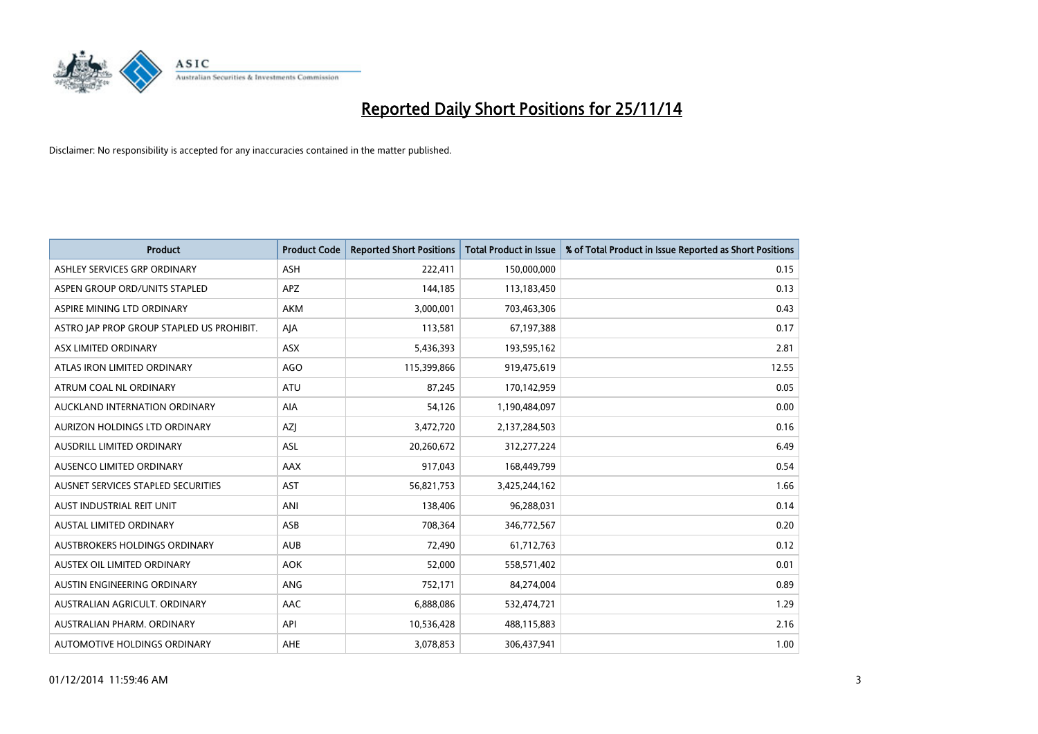

| <b>Product</b>                            | <b>Product Code</b> | <b>Reported Short Positions</b> | <b>Total Product in Issue</b> | % of Total Product in Issue Reported as Short Positions |
|-------------------------------------------|---------------------|---------------------------------|-------------------------------|---------------------------------------------------------|
| ASHLEY SERVICES GRP ORDINARY              | <b>ASH</b>          | 222,411                         | 150,000,000                   | 0.15                                                    |
| ASPEN GROUP ORD/UNITS STAPLED             | <b>APZ</b>          | 144,185                         | 113,183,450                   | 0.13                                                    |
| ASPIRE MINING LTD ORDINARY                | AKM                 | 3,000,001                       | 703,463,306                   | 0.43                                                    |
| ASTRO JAP PROP GROUP STAPLED US PROHIBIT. | AJA                 | 113,581                         | 67,197,388                    | 0.17                                                    |
| ASX LIMITED ORDINARY                      | ASX                 | 5,436,393                       | 193,595,162                   | 2.81                                                    |
| ATLAS IRON LIMITED ORDINARY               | <b>AGO</b>          | 115,399,866                     | 919,475,619                   | 12.55                                                   |
| ATRUM COAL NL ORDINARY                    | <b>ATU</b>          | 87,245                          | 170,142,959                   | 0.05                                                    |
| AUCKLAND INTERNATION ORDINARY             | AIA                 | 54,126                          | 1,190,484,097                 | 0.00                                                    |
| AURIZON HOLDINGS LTD ORDINARY             | AZJ                 | 3,472,720                       | 2,137,284,503                 | 0.16                                                    |
| AUSDRILL LIMITED ORDINARY                 | <b>ASL</b>          | 20,260,672                      | 312,277,224                   | 6.49                                                    |
| AUSENCO LIMITED ORDINARY                  | AAX                 | 917,043                         | 168,449,799                   | 0.54                                                    |
| AUSNET SERVICES STAPLED SECURITIES        | <b>AST</b>          | 56,821,753                      | 3,425,244,162                 | 1.66                                                    |
| AUST INDUSTRIAL REIT UNIT                 | ANI                 | 138,406                         | 96,288,031                    | 0.14                                                    |
| <b>AUSTAL LIMITED ORDINARY</b>            | ASB                 | 708,364                         | 346,772,567                   | 0.20                                                    |
| AUSTBROKERS HOLDINGS ORDINARY             | <b>AUB</b>          | 72,490                          | 61,712,763                    | 0.12                                                    |
| AUSTEX OIL LIMITED ORDINARY               | <b>AOK</b>          | 52,000                          | 558,571,402                   | 0.01                                                    |
| AUSTIN ENGINEERING ORDINARY               | ANG                 | 752,171                         | 84,274,004                    | 0.89                                                    |
| AUSTRALIAN AGRICULT, ORDINARY             | AAC                 | 6,888,086                       | 532,474,721                   | 1.29                                                    |
| AUSTRALIAN PHARM, ORDINARY                | API                 | 10,536,428                      | 488,115,883                   | 2.16                                                    |
| AUTOMOTIVE HOLDINGS ORDINARY              | <b>AHE</b>          | 3,078,853                       | 306,437,941                   | 1.00                                                    |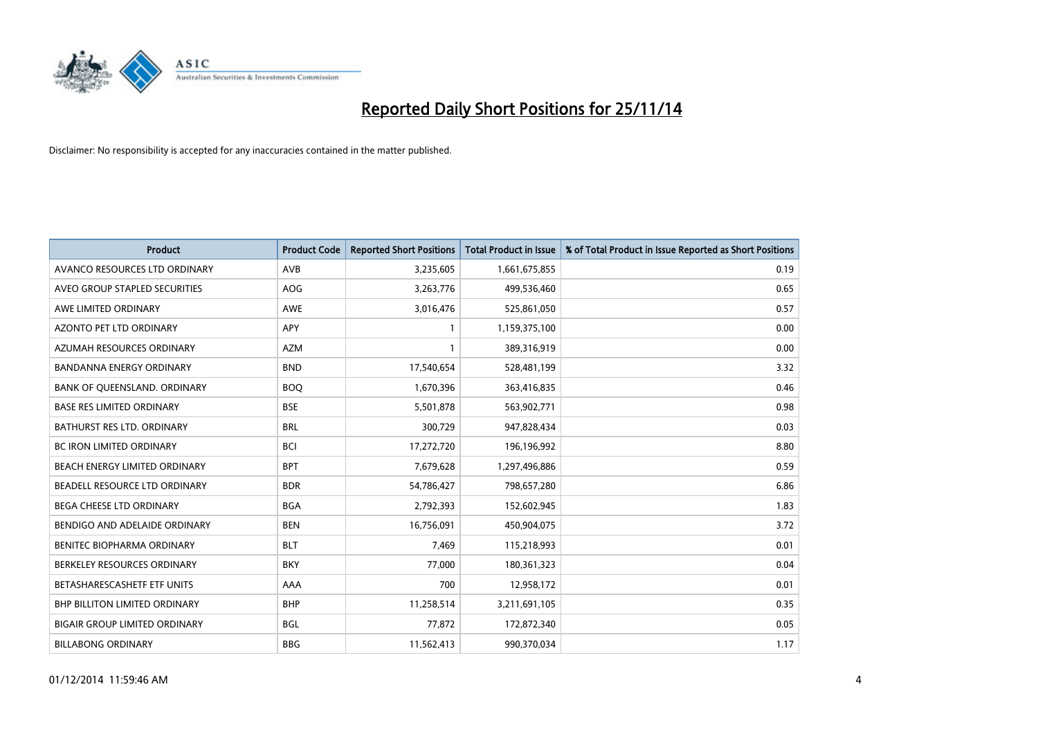

| <b>Product</b>                       | <b>Product Code</b> | <b>Reported Short Positions</b> | <b>Total Product in Issue</b> | % of Total Product in Issue Reported as Short Positions |
|--------------------------------------|---------------------|---------------------------------|-------------------------------|---------------------------------------------------------|
| AVANCO RESOURCES LTD ORDINARY        | AVB                 | 3,235,605                       | 1,661,675,855                 | 0.19                                                    |
| AVEO GROUP STAPLED SECURITIES        | AOG                 | 3,263,776                       | 499,536,460                   | 0.65                                                    |
| AWE LIMITED ORDINARY                 | <b>AWE</b>          | 3,016,476                       | 525,861,050                   | 0.57                                                    |
| AZONTO PET LTD ORDINARY              | APY                 | 1                               | 1,159,375,100                 | 0.00                                                    |
| AZUMAH RESOURCES ORDINARY            | AZM                 | 1                               | 389,316,919                   | 0.00                                                    |
| <b>BANDANNA ENERGY ORDINARY</b>      | <b>BND</b>          | 17,540,654                      | 528,481,199                   | 3.32                                                    |
| BANK OF QUEENSLAND. ORDINARY         | <b>BOO</b>          | 1,670,396                       | 363,416,835                   | 0.46                                                    |
| <b>BASE RES LIMITED ORDINARY</b>     | <b>BSE</b>          | 5,501,878                       | 563,902,771                   | 0.98                                                    |
| <b>BATHURST RES LTD. ORDINARY</b>    | <b>BRL</b>          | 300,729                         | 947,828,434                   | 0.03                                                    |
| <b>BC IRON LIMITED ORDINARY</b>      | <b>BCI</b>          | 17,272,720                      | 196,196,992                   | 8.80                                                    |
| BEACH ENERGY LIMITED ORDINARY        | <b>BPT</b>          | 7,679,628                       | 1,297,496,886                 | 0.59                                                    |
| BEADELL RESOURCE LTD ORDINARY        | <b>BDR</b>          | 54,786,427                      | 798,657,280                   | 6.86                                                    |
| <b>BEGA CHEESE LTD ORDINARY</b>      | <b>BGA</b>          | 2,792,393                       | 152,602,945                   | 1.83                                                    |
| BENDIGO AND ADELAIDE ORDINARY        | <b>BEN</b>          | 16,756,091                      | 450,904,075                   | 3.72                                                    |
| BENITEC BIOPHARMA ORDINARY           | <b>BLT</b>          | 7,469                           | 115,218,993                   | 0.01                                                    |
| BERKELEY RESOURCES ORDINARY          | <b>BKY</b>          | 77,000                          | 180,361,323                   | 0.04                                                    |
| BETASHARESCASHETF ETF UNITS          | AAA                 | 700                             | 12,958,172                    | 0.01                                                    |
| <b>BHP BILLITON LIMITED ORDINARY</b> | <b>BHP</b>          | 11,258,514                      | 3,211,691,105                 | 0.35                                                    |
| <b>BIGAIR GROUP LIMITED ORDINARY</b> | <b>BGL</b>          | 77,872                          | 172,872,340                   | 0.05                                                    |
| <b>BILLABONG ORDINARY</b>            | <b>BBG</b>          | 11,562,413                      | 990,370,034                   | 1.17                                                    |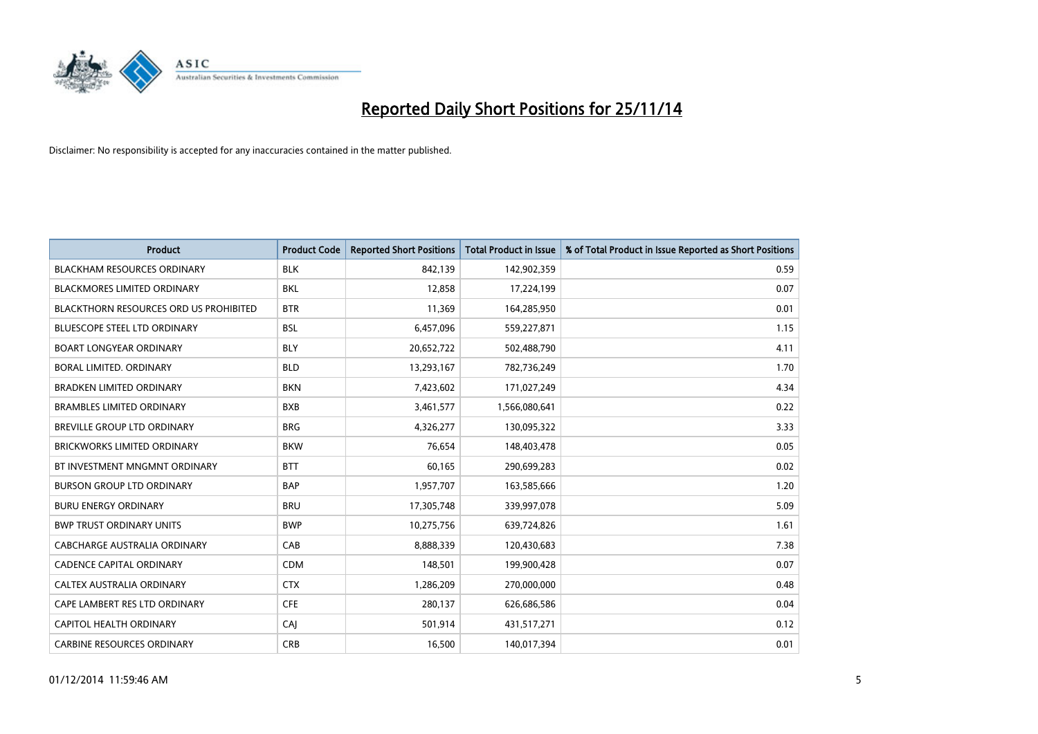

| <b>Product</b>                                | <b>Product Code</b> | <b>Reported Short Positions</b> | <b>Total Product in Issue</b> | % of Total Product in Issue Reported as Short Positions |
|-----------------------------------------------|---------------------|---------------------------------|-------------------------------|---------------------------------------------------------|
| <b>BLACKHAM RESOURCES ORDINARY</b>            | <b>BLK</b>          | 842.139                         | 142,902,359                   | 0.59                                                    |
| BLACKMORES LIMITED ORDINARY                   | BKL                 | 12,858                          | 17,224,199                    | 0.07                                                    |
| <b>BLACKTHORN RESOURCES ORD US PROHIBITED</b> | <b>BTR</b>          | 11,369                          | 164,285,950                   | 0.01                                                    |
| <b>BLUESCOPE STEEL LTD ORDINARY</b>           | <b>BSL</b>          | 6,457,096                       | 559,227,871                   | 1.15                                                    |
| <b>BOART LONGYEAR ORDINARY</b>                | <b>BLY</b>          | 20,652,722                      | 502,488,790                   | 4.11                                                    |
| <b>BORAL LIMITED, ORDINARY</b>                | <b>BLD</b>          | 13,293,167                      | 782,736,249                   | 1.70                                                    |
| <b>BRADKEN LIMITED ORDINARY</b>               | <b>BKN</b>          | 7,423,602                       | 171,027,249                   | 4.34                                                    |
| <b>BRAMBLES LIMITED ORDINARY</b>              | <b>BXB</b>          | 3,461,577                       | 1,566,080,641                 | 0.22                                                    |
| <b>BREVILLE GROUP LTD ORDINARY</b>            | <b>BRG</b>          | 4,326,277                       | 130,095,322                   | 3.33                                                    |
| <b>BRICKWORKS LIMITED ORDINARY</b>            | <b>BKW</b>          | 76,654                          | 148,403,478                   | 0.05                                                    |
| BT INVESTMENT MNGMNT ORDINARY                 | <b>BTT</b>          | 60,165                          | 290,699,283                   | 0.02                                                    |
| <b>BURSON GROUP LTD ORDINARY</b>              | <b>BAP</b>          | 1,957,707                       | 163,585,666                   | 1.20                                                    |
| <b>BURU ENERGY ORDINARY</b>                   | <b>BRU</b>          | 17,305,748                      | 339,997,078                   | 5.09                                                    |
| <b>BWP TRUST ORDINARY UNITS</b>               | <b>BWP</b>          | 10,275,756                      | 639,724,826                   | 1.61                                                    |
| <b>CABCHARGE AUSTRALIA ORDINARY</b>           | CAB                 | 8,888,339                       | 120,430,683                   | 7.38                                                    |
| <b>CADENCE CAPITAL ORDINARY</b>               | <b>CDM</b>          | 148,501                         | 199,900,428                   | 0.07                                                    |
| CALTEX AUSTRALIA ORDINARY                     | <b>CTX</b>          | 1,286,209                       | 270,000,000                   | 0.48                                                    |
| CAPE LAMBERT RES LTD ORDINARY                 | <b>CFE</b>          | 280,137                         | 626,686,586                   | 0.04                                                    |
| CAPITOL HEALTH ORDINARY                       | <b>CAJ</b>          | 501,914                         | 431,517,271                   | 0.12                                                    |
| <b>CARBINE RESOURCES ORDINARY</b>             | <b>CRB</b>          | 16,500                          | 140,017,394                   | 0.01                                                    |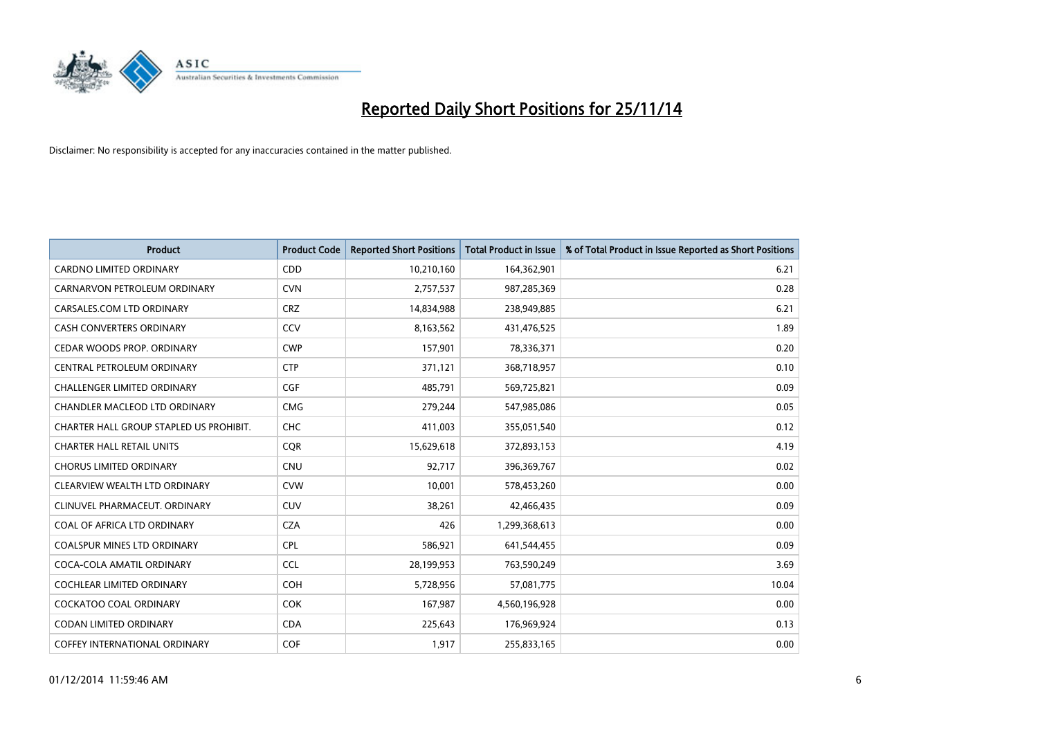

| <b>Product</b>                          | <b>Product Code</b> | <b>Reported Short Positions</b> | <b>Total Product in Issue</b> | % of Total Product in Issue Reported as Short Positions |
|-----------------------------------------|---------------------|---------------------------------|-------------------------------|---------------------------------------------------------|
| <b>CARDNO LIMITED ORDINARY</b>          | CDD                 | 10,210,160                      | 164,362,901                   | 6.21                                                    |
| CARNARVON PETROLEUM ORDINARY            | <b>CVN</b>          | 2,757,537                       | 987,285,369                   | 0.28                                                    |
| CARSALES.COM LTD ORDINARY               | <b>CRZ</b>          | 14,834,988                      | 238,949,885                   | 6.21                                                    |
| <b>CASH CONVERTERS ORDINARY</b>         | CCV                 | 8,163,562                       | 431,476,525                   | 1.89                                                    |
| CEDAR WOODS PROP. ORDINARY              | <b>CWP</b>          | 157,901                         | 78,336,371                    | 0.20                                                    |
| CENTRAL PETROLEUM ORDINARY              | <b>CTP</b>          | 371,121                         | 368,718,957                   | 0.10                                                    |
| CHALLENGER LIMITED ORDINARY             | <b>CGF</b>          | 485,791                         | 569,725,821                   | 0.09                                                    |
| CHANDLER MACLEOD LTD ORDINARY           | <b>CMG</b>          | 279,244                         | 547,985,086                   | 0.05                                                    |
| CHARTER HALL GROUP STAPLED US PROHIBIT. | <b>CHC</b>          | 411,003                         | 355,051,540                   | 0.12                                                    |
| <b>CHARTER HALL RETAIL UNITS</b>        | <b>CQR</b>          | 15,629,618                      | 372,893,153                   | 4.19                                                    |
| <b>CHORUS LIMITED ORDINARY</b>          | <b>CNU</b>          | 92,717                          | 396,369,767                   | 0.02                                                    |
| CLEARVIEW WEALTH LTD ORDINARY           | <b>CVW</b>          | 10,001                          | 578,453,260                   | 0.00                                                    |
| CLINUVEL PHARMACEUT, ORDINARY           | <b>CUV</b>          | 38,261                          | 42,466,435                    | 0.09                                                    |
| COAL OF AFRICA LTD ORDINARY             | <b>CZA</b>          | 426                             | 1,299,368,613                 | 0.00                                                    |
| <b>COALSPUR MINES LTD ORDINARY</b>      | <b>CPL</b>          | 586,921                         | 641,544,455                   | 0.09                                                    |
| COCA-COLA AMATIL ORDINARY               | <b>CCL</b>          | 28,199,953                      | 763,590,249                   | 3.69                                                    |
| COCHLEAR LIMITED ORDINARY               | <b>COH</b>          | 5,728,956                       | 57,081,775                    | 10.04                                                   |
| <b>COCKATOO COAL ORDINARY</b>           | <b>COK</b>          | 167,987                         | 4,560,196,928                 | 0.00                                                    |
| <b>CODAN LIMITED ORDINARY</b>           | <b>CDA</b>          | 225,643                         | 176,969,924                   | 0.13                                                    |
| COFFEY INTERNATIONAL ORDINARY           | <b>COF</b>          | 1,917                           | 255,833,165                   | 0.00                                                    |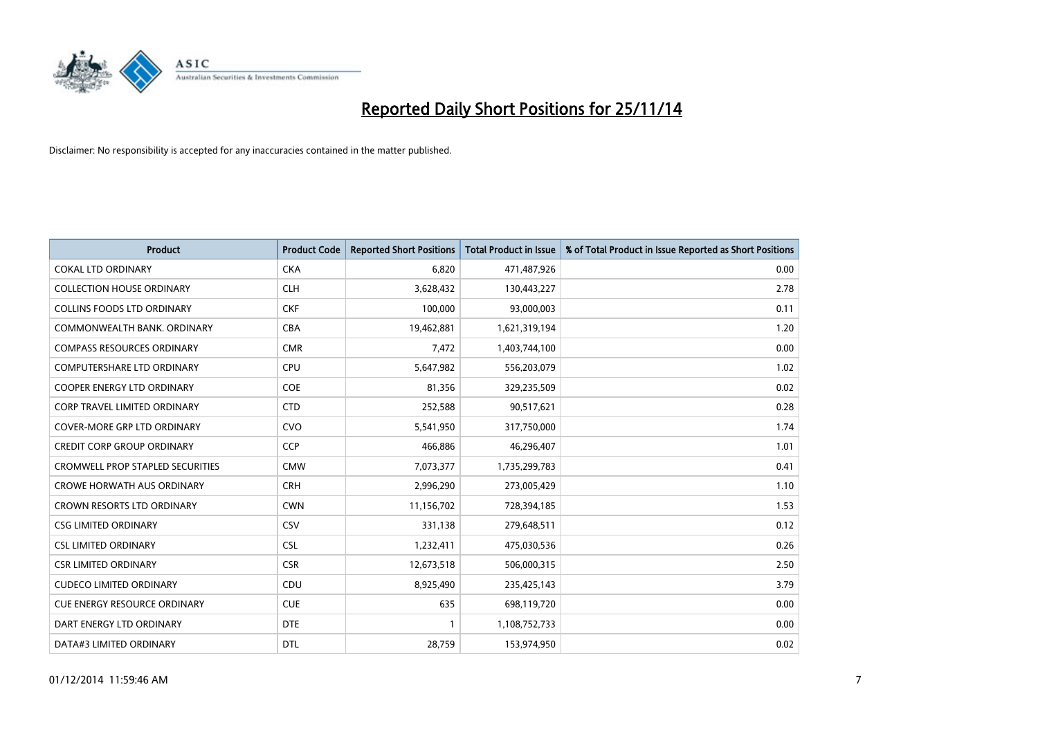

| Product                                 | <b>Product Code</b> | <b>Reported Short Positions</b> | <b>Total Product in Issue</b> | % of Total Product in Issue Reported as Short Positions |
|-----------------------------------------|---------------------|---------------------------------|-------------------------------|---------------------------------------------------------|
| <b>COKAL LTD ORDINARY</b>               | <b>CKA</b>          | 6,820                           | 471,487,926                   | 0.00                                                    |
| <b>COLLECTION HOUSE ORDINARY</b>        | <b>CLH</b>          | 3,628,432                       | 130,443,227                   | 2.78                                                    |
| <b>COLLINS FOODS LTD ORDINARY</b>       | <b>CKF</b>          | 100,000                         | 93,000,003                    | 0.11                                                    |
| COMMONWEALTH BANK, ORDINARY             | <b>CBA</b>          | 19,462,881                      | 1,621,319,194                 | 1.20                                                    |
| <b>COMPASS RESOURCES ORDINARY</b>       | <b>CMR</b>          | 7,472                           | 1,403,744,100                 | 0.00                                                    |
| <b>COMPUTERSHARE LTD ORDINARY</b>       | <b>CPU</b>          | 5,647,982                       | 556,203,079                   | 1.02                                                    |
| <b>COOPER ENERGY LTD ORDINARY</b>       | <b>COE</b>          | 81,356                          | 329,235,509                   | 0.02                                                    |
| <b>CORP TRAVEL LIMITED ORDINARY</b>     | <b>CTD</b>          | 252,588                         | 90,517,621                    | 0.28                                                    |
| <b>COVER-MORE GRP LTD ORDINARY</b>      | <b>CVO</b>          | 5,541,950                       | 317,750,000                   | 1.74                                                    |
| <b>CREDIT CORP GROUP ORDINARY</b>       | <b>CCP</b>          | 466,886                         | 46,296,407                    | 1.01                                                    |
| <b>CROMWELL PROP STAPLED SECURITIES</b> | <b>CMW</b>          | 7,073,377                       | 1,735,299,783                 | 0.41                                                    |
| <b>CROWE HORWATH AUS ORDINARY</b>       | <b>CRH</b>          | 2,996,290                       | 273,005,429                   | 1.10                                                    |
| <b>CROWN RESORTS LTD ORDINARY</b>       | <b>CWN</b>          | 11,156,702                      | 728,394,185                   | 1.53                                                    |
| <b>CSG LIMITED ORDINARY</b>             | CSV                 | 331,138                         | 279,648,511                   | 0.12                                                    |
| <b>CSL LIMITED ORDINARY</b>             | <b>CSL</b>          | 1,232,411                       | 475,030,536                   | 0.26                                                    |
| <b>CSR LIMITED ORDINARY</b>             | <b>CSR</b>          | 12,673,518                      | 506,000,315                   | 2.50                                                    |
| <b>CUDECO LIMITED ORDINARY</b>          | CDU                 | 8,925,490                       | 235,425,143                   | 3.79                                                    |
| <b>CUE ENERGY RESOURCE ORDINARY</b>     | <b>CUE</b>          | 635                             | 698,119,720                   | 0.00                                                    |
| DART ENERGY LTD ORDINARY                | <b>DTE</b>          | 1                               | 1,108,752,733                 | 0.00                                                    |
| DATA#3 LIMITED ORDINARY                 | DTL                 | 28,759                          | 153,974,950                   | 0.02                                                    |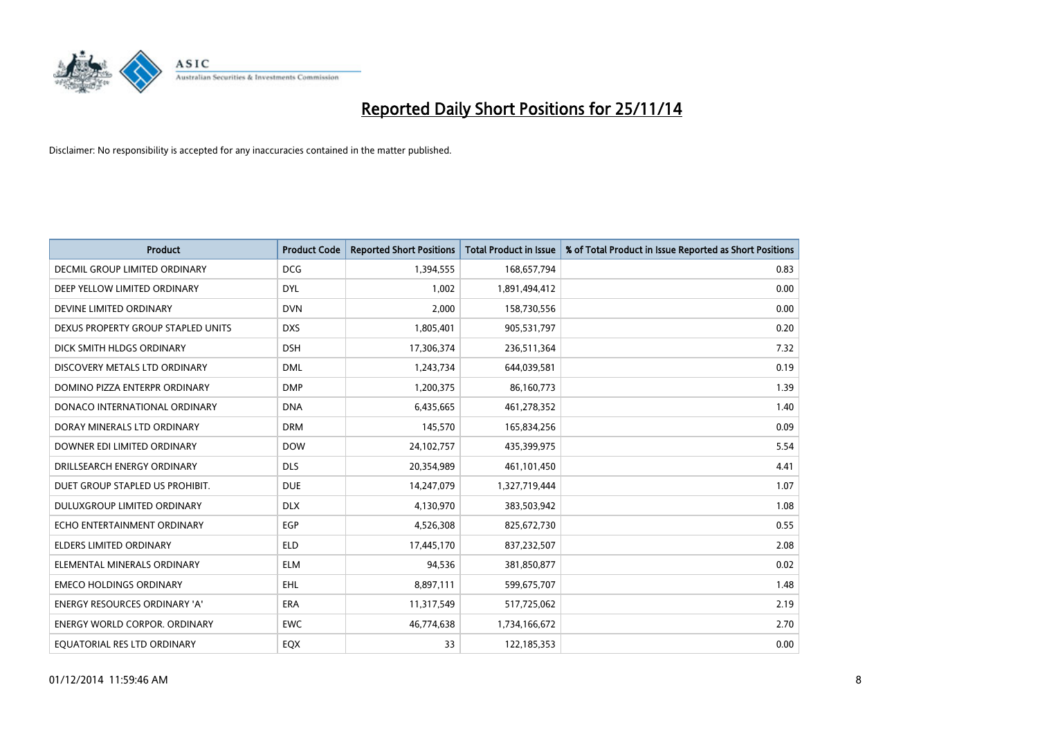

| <b>Product</b>                       | <b>Product Code</b> | <b>Reported Short Positions</b> | <b>Total Product in Issue</b> | % of Total Product in Issue Reported as Short Positions |
|--------------------------------------|---------------------|---------------------------------|-------------------------------|---------------------------------------------------------|
| DECMIL GROUP LIMITED ORDINARY        | <b>DCG</b>          | 1,394,555                       | 168,657,794                   | 0.83                                                    |
| DEEP YELLOW LIMITED ORDINARY         | <b>DYL</b>          | 1,002                           | 1,891,494,412                 | 0.00                                                    |
| DEVINE LIMITED ORDINARY              | <b>DVN</b>          | 2,000                           | 158,730,556                   | 0.00                                                    |
| DEXUS PROPERTY GROUP STAPLED UNITS   | <b>DXS</b>          | 1,805,401                       | 905,531,797                   | 0.20                                                    |
| DICK SMITH HLDGS ORDINARY            | <b>DSH</b>          | 17,306,374                      | 236,511,364                   | 7.32                                                    |
| DISCOVERY METALS LTD ORDINARY        | <b>DML</b>          | 1,243,734                       | 644,039,581                   | 0.19                                                    |
| DOMINO PIZZA ENTERPR ORDINARY        | <b>DMP</b>          | 1,200,375                       | 86,160,773                    | 1.39                                                    |
| DONACO INTERNATIONAL ORDINARY        | <b>DNA</b>          | 6,435,665                       | 461,278,352                   | 1.40                                                    |
| DORAY MINERALS LTD ORDINARY          | <b>DRM</b>          | 145,570                         | 165,834,256                   | 0.09                                                    |
| DOWNER EDI LIMITED ORDINARY          | <b>DOW</b>          | 24,102,757                      | 435,399,975                   | 5.54                                                    |
| DRILLSEARCH ENERGY ORDINARY          | <b>DLS</b>          | 20,354,989                      | 461,101,450                   | 4.41                                                    |
| DUET GROUP STAPLED US PROHIBIT.      | <b>DUE</b>          | 14,247,079                      | 1,327,719,444                 | 1.07                                                    |
| DULUXGROUP LIMITED ORDINARY          | <b>DLX</b>          | 4,130,970                       | 383,503,942                   | 1.08                                                    |
| ECHO ENTERTAINMENT ORDINARY          | <b>EGP</b>          | 4,526,308                       | 825,672,730                   | 0.55                                                    |
| <b>ELDERS LIMITED ORDINARY</b>       | <b>ELD</b>          | 17,445,170                      | 837,232,507                   | 2.08                                                    |
| ELEMENTAL MINERALS ORDINARY          | <b>ELM</b>          | 94,536                          | 381,850,877                   | 0.02                                                    |
| <b>EMECO HOLDINGS ORDINARY</b>       | <b>EHL</b>          | 8,897,111                       | 599,675,707                   | 1.48                                                    |
| ENERGY RESOURCES ORDINARY 'A'        | ERA                 | 11,317,549                      | 517,725,062                   | 2.19                                                    |
| <b>ENERGY WORLD CORPOR, ORDINARY</b> | <b>EWC</b>          | 46,774,638                      | 1,734,166,672                 | 2.70                                                    |
| EQUATORIAL RES LTD ORDINARY          | EQX                 | 33                              | 122,185,353                   | 0.00                                                    |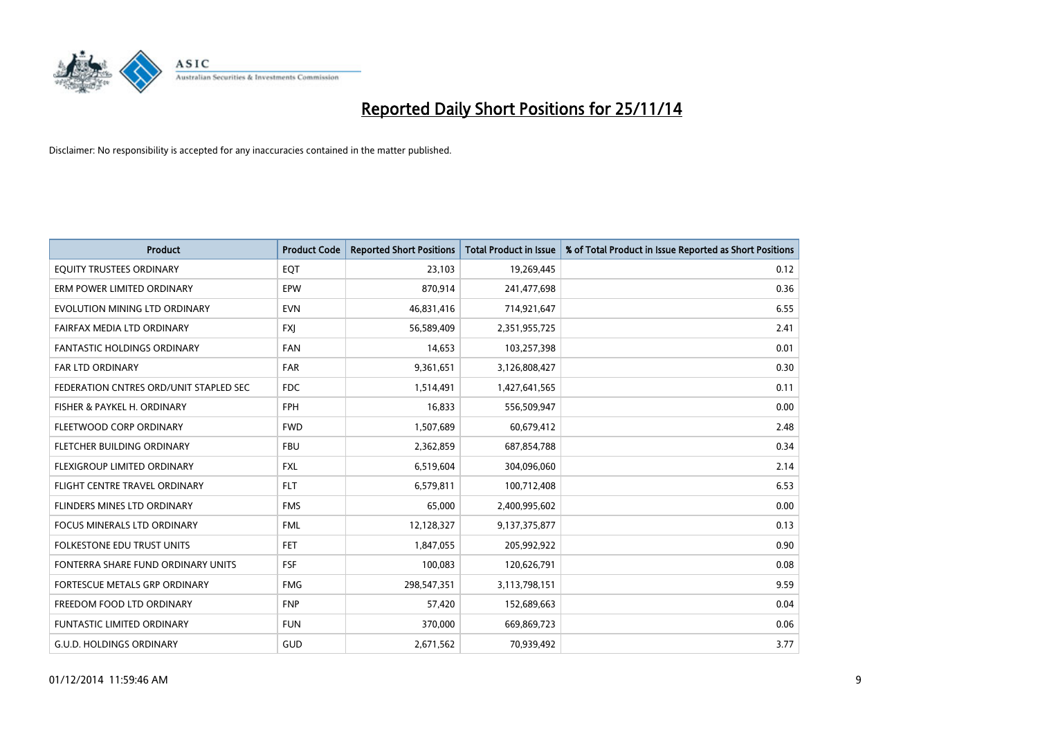

| <b>Product</b>                         | <b>Product Code</b> | <b>Reported Short Positions</b> | <b>Total Product in Issue</b> | % of Total Product in Issue Reported as Short Positions |
|----------------------------------------|---------------------|---------------------------------|-------------------------------|---------------------------------------------------------|
| EQUITY TRUSTEES ORDINARY               | EQT                 | 23,103                          | 19,269,445                    | 0.12                                                    |
| ERM POWER LIMITED ORDINARY             | EPW                 | 870,914                         | 241,477,698                   | 0.36                                                    |
| EVOLUTION MINING LTD ORDINARY          | <b>EVN</b>          | 46,831,416                      | 714,921,647                   | 6.55                                                    |
| FAIRFAX MEDIA LTD ORDINARY             | <b>FXI</b>          | 56,589,409                      | 2,351,955,725                 | 2.41                                                    |
| <b>FANTASTIC HOLDINGS ORDINARY</b>     | <b>FAN</b>          | 14,653                          | 103,257,398                   | 0.01                                                    |
| <b>FAR LTD ORDINARY</b>                | <b>FAR</b>          | 9,361,651                       | 3,126,808,427                 | 0.30                                                    |
| FEDERATION CNTRES ORD/UNIT STAPLED SEC | <b>FDC</b>          | 1,514,491                       | 1,427,641,565                 | 0.11                                                    |
| FISHER & PAYKEL H. ORDINARY            | FPH                 | 16,833                          | 556,509,947                   | 0.00                                                    |
| FLEETWOOD CORP ORDINARY                | <b>FWD</b>          | 1,507,689                       | 60,679,412                    | 2.48                                                    |
| FLETCHER BUILDING ORDINARY             | <b>FBU</b>          | 2,362,859                       | 687,854,788                   | 0.34                                                    |
| FLEXIGROUP LIMITED ORDINARY            | <b>FXL</b>          | 6,519,604                       | 304,096,060                   | 2.14                                                    |
| FLIGHT CENTRE TRAVEL ORDINARY          | <b>FLT</b>          | 6,579,811                       | 100,712,408                   | 6.53                                                    |
| FLINDERS MINES LTD ORDINARY            | <b>FMS</b>          | 65,000                          | 2,400,995,602                 | 0.00                                                    |
| <b>FOCUS MINERALS LTD ORDINARY</b>     | <b>FML</b>          | 12,128,327                      | 9,137,375,877                 | 0.13                                                    |
| <b>FOLKESTONE EDU TRUST UNITS</b>      | FET.                | 1,847,055                       | 205,992,922                   | 0.90                                                    |
| FONTERRA SHARE FUND ORDINARY UNITS     | <b>FSF</b>          | 100,083                         | 120,626,791                   | 0.08                                                    |
| FORTESCUE METALS GRP ORDINARY          | <b>FMG</b>          | 298,547,351                     | 3,113,798,151                 | 9.59                                                    |
| FREEDOM FOOD LTD ORDINARY              | <b>FNP</b>          | 57,420                          | 152,689,663                   | 0.04                                                    |
| <b>FUNTASTIC LIMITED ORDINARY</b>      | <b>FUN</b>          | 370,000                         | 669,869,723                   | 0.06                                                    |
| <b>G.U.D. HOLDINGS ORDINARY</b>        | GUD                 | 2,671,562                       | 70,939,492                    | 3.77                                                    |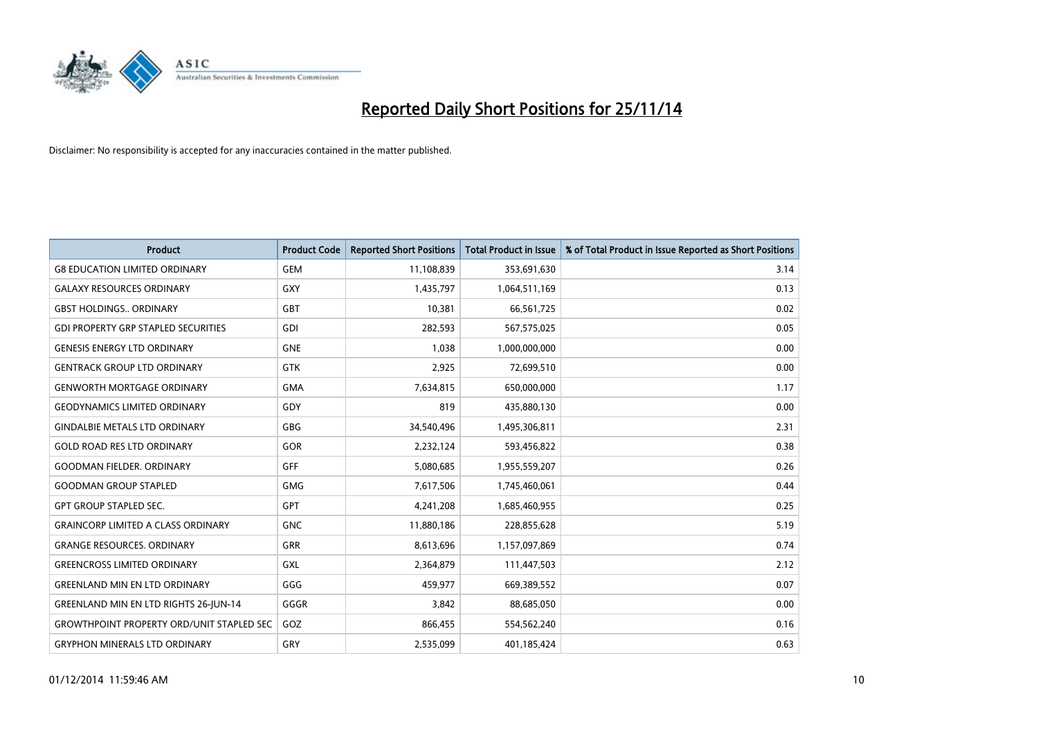

| <b>Product</b>                                   | <b>Product Code</b> | <b>Reported Short Positions</b> | <b>Total Product in Issue</b> | % of Total Product in Issue Reported as Short Positions |
|--------------------------------------------------|---------------------|---------------------------------|-------------------------------|---------------------------------------------------------|
| <b>G8 EDUCATION LIMITED ORDINARY</b>             | <b>GEM</b>          | 11,108,839                      | 353,691,630                   | 3.14                                                    |
| <b>GALAXY RESOURCES ORDINARY</b>                 | <b>GXY</b>          | 1,435,797                       | 1,064,511,169                 | 0.13                                                    |
| <b>GBST HOLDINGS., ORDINARY</b>                  | <b>GBT</b>          | 10,381                          | 66,561,725                    | 0.02                                                    |
| <b>GDI PROPERTY GRP STAPLED SECURITIES</b>       | <b>GDI</b>          | 282,593                         | 567,575,025                   | 0.05                                                    |
| <b>GENESIS ENERGY LTD ORDINARY</b>               | <b>GNE</b>          | 1,038                           | 1,000,000,000                 | 0.00                                                    |
| <b>GENTRACK GROUP LTD ORDINARY</b>               | <b>GTK</b>          | 2,925                           | 72,699,510                    | 0.00                                                    |
| <b>GENWORTH MORTGAGE ORDINARY</b>                | <b>GMA</b>          | 7,634,815                       | 650,000,000                   | 1.17                                                    |
| <b>GEODYNAMICS LIMITED ORDINARY</b>              | GDY                 | 819                             | 435,880,130                   | 0.00                                                    |
| <b>GINDALBIE METALS LTD ORDINARY</b>             | GBG                 | 34,540,496                      | 1,495,306,811                 | 2.31                                                    |
| <b>GOLD ROAD RES LTD ORDINARY</b>                | GOR                 | 2,232,124                       | 593,456,822                   | 0.38                                                    |
| <b>GOODMAN FIELDER. ORDINARY</b>                 | GFF                 | 5,080,685                       | 1,955,559,207                 | 0.26                                                    |
| <b>GOODMAN GROUP STAPLED</b>                     | <b>GMG</b>          | 7,617,506                       | 1,745,460,061                 | 0.44                                                    |
| <b>GPT GROUP STAPLED SEC.</b>                    | GPT                 | 4,241,208                       | 1,685,460,955                 | 0.25                                                    |
| <b>GRAINCORP LIMITED A CLASS ORDINARY</b>        | <b>GNC</b>          | 11,880,186                      | 228,855,628                   | 5.19                                                    |
| <b>GRANGE RESOURCES. ORDINARY</b>                | GRR                 | 8,613,696                       | 1,157,097,869                 | 0.74                                                    |
| <b>GREENCROSS LIMITED ORDINARY</b>               | GXL                 | 2,364,879                       | 111,447,503                   | 2.12                                                    |
| <b>GREENLAND MIN EN LTD ORDINARY</b>             | GGG                 | 459,977                         | 669,389,552                   | 0.07                                                    |
| <b>GREENLAND MIN EN LTD RIGHTS 26-JUN-14</b>     | GGGR                | 3.842                           | 88,685,050                    | 0.00                                                    |
| <b>GROWTHPOINT PROPERTY ORD/UNIT STAPLED SEC</b> | GOZ                 | 866,455                         | 554,562,240                   | 0.16                                                    |
| <b>GRYPHON MINERALS LTD ORDINARY</b>             | GRY                 | 2,535,099                       | 401,185,424                   | 0.63                                                    |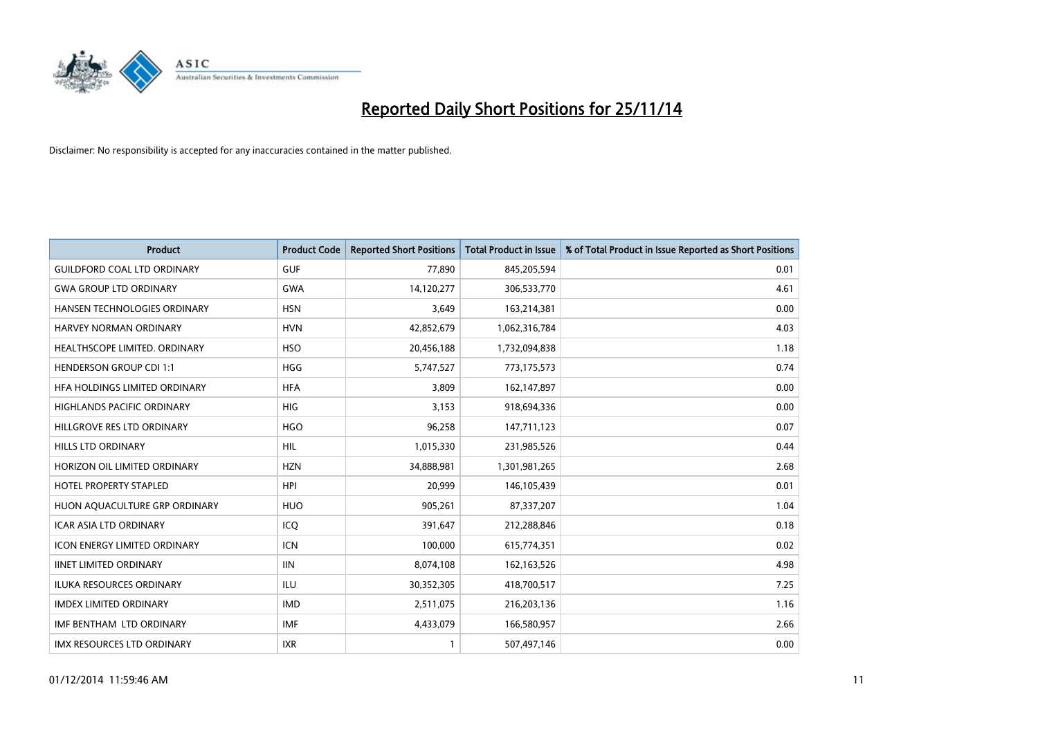

| Product                             | <b>Product Code</b> | <b>Reported Short Positions</b> | <b>Total Product in Issue</b> | % of Total Product in Issue Reported as Short Positions |
|-------------------------------------|---------------------|---------------------------------|-------------------------------|---------------------------------------------------------|
| <b>GUILDFORD COAL LTD ORDINARY</b>  | <b>GUF</b>          | 77,890                          | 845,205,594                   | 0.01                                                    |
| <b>GWA GROUP LTD ORDINARY</b>       | <b>GWA</b>          | 14,120,277                      | 306,533,770                   | 4.61                                                    |
| <b>HANSEN TECHNOLOGIES ORDINARY</b> | <b>HSN</b>          | 3,649                           | 163,214,381                   | 0.00                                                    |
| HARVEY NORMAN ORDINARY              | <b>HVN</b>          | 42,852,679                      | 1,062,316,784                 | 4.03                                                    |
| HEALTHSCOPE LIMITED. ORDINARY       | <b>HSO</b>          | 20,456,188                      | 1,732,094,838                 | 1.18                                                    |
| <b>HENDERSON GROUP CDI 1:1</b>      | HGG                 | 5,747,527                       | 773,175,573                   | 0.74                                                    |
| HFA HOLDINGS LIMITED ORDINARY       | <b>HFA</b>          | 3,809                           | 162,147,897                   | 0.00                                                    |
| HIGHLANDS PACIFIC ORDINARY          | HIG                 | 3,153                           | 918,694,336                   | 0.00                                                    |
| HILLGROVE RES LTD ORDINARY          | <b>HGO</b>          | 96,258                          | 147,711,123                   | 0.07                                                    |
| <b>HILLS LTD ORDINARY</b>           | <b>HIL</b>          | 1,015,330                       | 231,985,526                   | 0.44                                                    |
| HORIZON OIL LIMITED ORDINARY        | <b>HZN</b>          | 34,888,981                      | 1,301,981,265                 | 2.68                                                    |
| <b>HOTEL PROPERTY STAPLED</b>       | <b>HPI</b>          | 20,999                          | 146, 105, 439                 | 0.01                                                    |
| HUON AQUACULTURE GRP ORDINARY       | <b>HUO</b>          | 905,261                         | 87,337,207                    | 1.04                                                    |
| <b>ICAR ASIA LTD ORDINARY</b>       | ICQ                 | 391,647                         | 212,288,846                   | 0.18                                                    |
| <b>ICON ENERGY LIMITED ORDINARY</b> | <b>ICN</b>          | 100,000                         | 615,774,351                   | 0.02                                                    |
| <b>IINET LIMITED ORDINARY</b>       | <b>IIN</b>          | 8,074,108                       | 162,163,526                   | 4.98                                                    |
| <b>ILUKA RESOURCES ORDINARY</b>     | <b>ILU</b>          | 30,352,305                      | 418,700,517                   | 7.25                                                    |
| <b>IMDEX LIMITED ORDINARY</b>       | <b>IMD</b>          | 2,511,075                       | 216,203,136                   | 1.16                                                    |
| IMF BENTHAM LTD ORDINARY            | <b>IMF</b>          | 4,433,079                       | 166,580,957                   | 2.66                                                    |
| IMX RESOURCES LTD ORDINARY          | <b>IXR</b>          |                                 | 507,497,146                   | 0.00                                                    |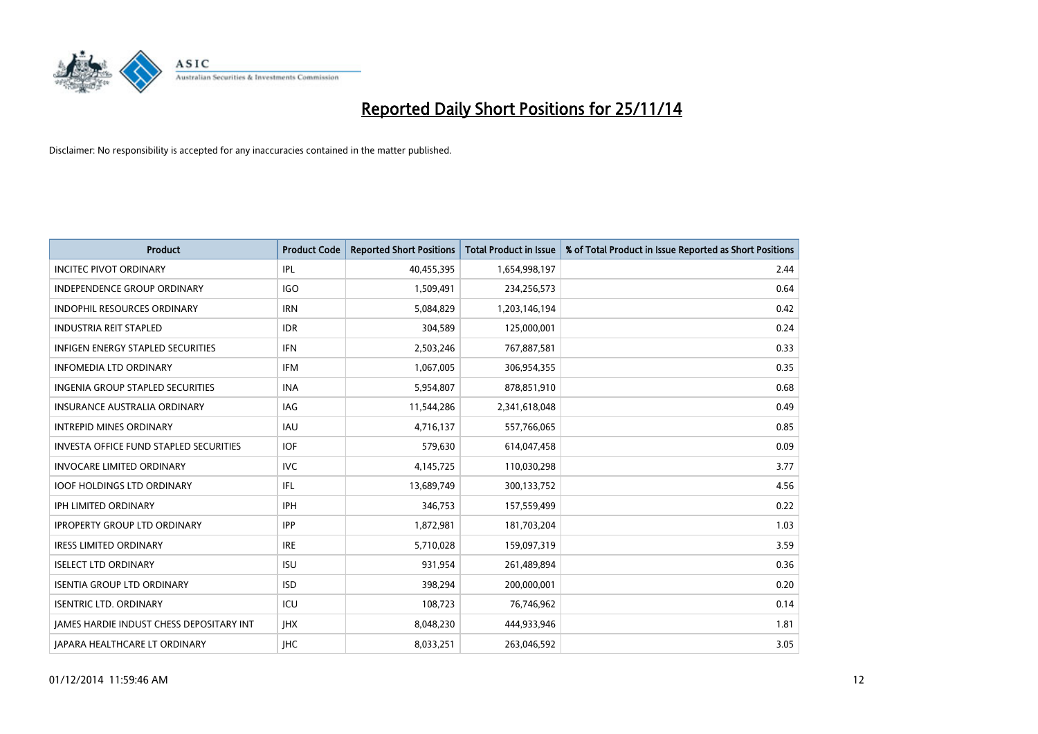

| <b>Product</b>                                  | <b>Product Code</b> | <b>Reported Short Positions</b> | <b>Total Product in Issue</b> | % of Total Product in Issue Reported as Short Positions |
|-------------------------------------------------|---------------------|---------------------------------|-------------------------------|---------------------------------------------------------|
| <b>INCITEC PIVOT ORDINARY</b>                   | IPL                 | 40,455,395                      | 1,654,998,197                 | 2.44                                                    |
| INDEPENDENCE GROUP ORDINARY                     | <b>IGO</b>          | 1,509,491                       | 234,256,573                   | 0.64                                                    |
| <b>INDOPHIL RESOURCES ORDINARY</b>              | <b>IRN</b>          | 5,084,829                       | 1,203,146,194                 | 0.42                                                    |
| <b>INDUSTRIA REIT STAPLED</b>                   | <b>IDR</b>          | 304,589                         | 125,000,001                   | 0.24                                                    |
| <b>INFIGEN ENERGY STAPLED SECURITIES</b>        | <b>IFN</b>          | 2,503,246                       | 767,887,581                   | 0.33                                                    |
| <b>INFOMEDIA LTD ORDINARY</b>                   | <b>IFM</b>          | 1,067,005                       | 306,954,355                   | 0.35                                                    |
| <b>INGENIA GROUP STAPLED SECURITIES</b>         | <b>INA</b>          | 5,954,807                       | 878,851,910                   | 0.68                                                    |
| <b>INSURANCE AUSTRALIA ORDINARY</b>             | IAG                 | 11,544,286                      | 2,341,618,048                 | 0.49                                                    |
| <b>INTREPID MINES ORDINARY</b>                  | IAU                 | 4,716,137                       | 557,766,065                   | 0.85                                                    |
| INVESTA OFFICE FUND STAPLED SECURITIES          | IOF.                | 579,630                         | 614,047,458                   | 0.09                                                    |
| <b>INVOCARE LIMITED ORDINARY</b>                | <b>IVC</b>          | 4,145,725                       | 110,030,298                   | 3.77                                                    |
| <b>IOOF HOLDINGS LTD ORDINARY</b>               | IFL                 | 13,689,749                      | 300,133,752                   | 4.56                                                    |
| <b>IPH LIMITED ORDINARY</b>                     | <b>IPH</b>          | 346,753                         | 157,559,499                   | 0.22                                                    |
| <b>IPROPERTY GROUP LTD ORDINARY</b>             | <b>IPP</b>          | 1,872,981                       | 181,703,204                   | 1.03                                                    |
| <b>IRESS LIMITED ORDINARY</b>                   | <b>IRE</b>          | 5,710,028                       | 159,097,319                   | 3.59                                                    |
| <b>ISELECT LTD ORDINARY</b>                     | <b>ISU</b>          | 931,954                         | 261,489,894                   | 0.36                                                    |
| <b>ISENTIA GROUP LTD ORDINARY</b>               | <b>ISD</b>          | 398,294                         | 200,000,001                   | 0.20                                                    |
| <b>ISENTRIC LTD. ORDINARY</b>                   | ICU                 | 108,723                         | 76,746,962                    | 0.14                                                    |
| <b>IAMES HARDIE INDUST CHESS DEPOSITARY INT</b> | <b>IHX</b>          | 8,048,230                       | 444,933,946                   | 1.81                                                    |
| JAPARA HEALTHCARE LT ORDINARY                   | <b>IHC</b>          | 8,033,251                       | 263,046,592                   | 3.05                                                    |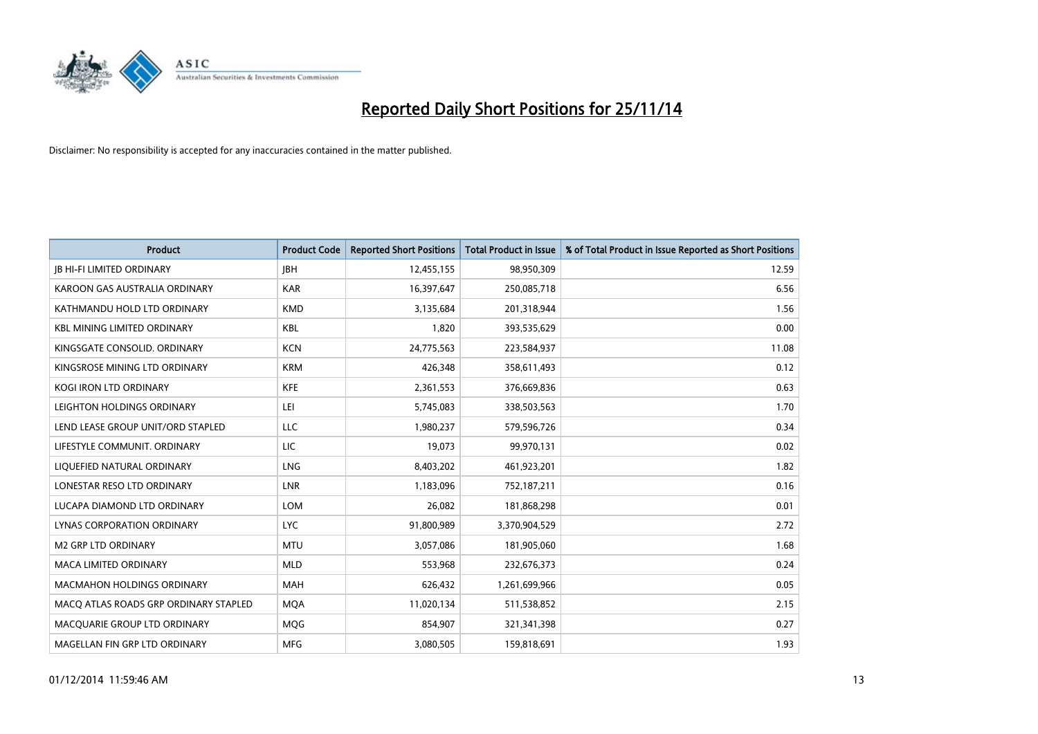

| <b>Product</b>                        | <b>Product Code</b> | <b>Reported Short Positions</b> | <b>Total Product in Issue</b> | % of Total Product in Issue Reported as Short Positions |
|---------------------------------------|---------------------|---------------------------------|-------------------------------|---------------------------------------------------------|
| <b>JB HI-FI LIMITED ORDINARY</b>      | <b>JBH</b>          | 12,455,155                      | 98,950,309                    | 12.59                                                   |
| KAROON GAS AUSTRALIA ORDINARY         | <b>KAR</b>          | 16,397,647                      | 250,085,718                   | 6.56                                                    |
| KATHMANDU HOLD LTD ORDINARY           | <b>KMD</b>          | 3,135,684                       | 201,318,944                   | 1.56                                                    |
| <b>KBL MINING LIMITED ORDINARY</b>    | <b>KBL</b>          | 1,820                           | 393,535,629                   | 0.00                                                    |
| KINGSGATE CONSOLID, ORDINARY          | <b>KCN</b>          | 24,775,563                      | 223,584,937                   | 11.08                                                   |
| KINGSROSE MINING LTD ORDINARY         | <b>KRM</b>          | 426,348                         | 358,611,493                   | 0.12                                                    |
| <b>KOGI IRON LTD ORDINARY</b>         | <b>KFE</b>          | 2,361,553                       | 376,669,836                   | 0.63                                                    |
| LEIGHTON HOLDINGS ORDINARY            | LEI                 | 5,745,083                       | 338,503,563                   | 1.70                                                    |
| LEND LEASE GROUP UNIT/ORD STAPLED     | LLC                 | 1,980,237                       | 579,596,726                   | 0.34                                                    |
| LIFESTYLE COMMUNIT, ORDINARY          | <b>LIC</b>          | 19,073                          | 99,970,131                    | 0.02                                                    |
| LIQUEFIED NATURAL ORDINARY            | LNG                 | 8,403,202                       | 461,923,201                   | 1.82                                                    |
| LONESTAR RESO LTD ORDINARY            | <b>LNR</b>          | 1,183,096                       | 752,187,211                   | 0.16                                                    |
| LUCAPA DIAMOND LTD ORDINARY           | <b>LOM</b>          | 26,082                          | 181,868,298                   | 0.01                                                    |
| LYNAS CORPORATION ORDINARY            | <b>LYC</b>          | 91,800,989                      | 3,370,904,529                 | 2.72                                                    |
| <b>M2 GRP LTD ORDINARY</b>            | <b>MTU</b>          | 3,057,086                       | 181,905,060                   | 1.68                                                    |
| MACA LIMITED ORDINARY                 | <b>MLD</b>          | 553,968                         | 232,676,373                   | 0.24                                                    |
| <b>MACMAHON HOLDINGS ORDINARY</b>     | <b>MAH</b>          | 626,432                         | 1,261,699,966                 | 0.05                                                    |
| MACQ ATLAS ROADS GRP ORDINARY STAPLED | <b>MQA</b>          | 11,020,134                      | 511,538,852                   | 2.15                                                    |
| MACOUARIE GROUP LTD ORDINARY          | MQG                 | 854,907                         | 321,341,398                   | 0.27                                                    |
| MAGELLAN FIN GRP LTD ORDINARY         | <b>MFG</b>          | 3,080,505                       | 159,818,691                   | 1.93                                                    |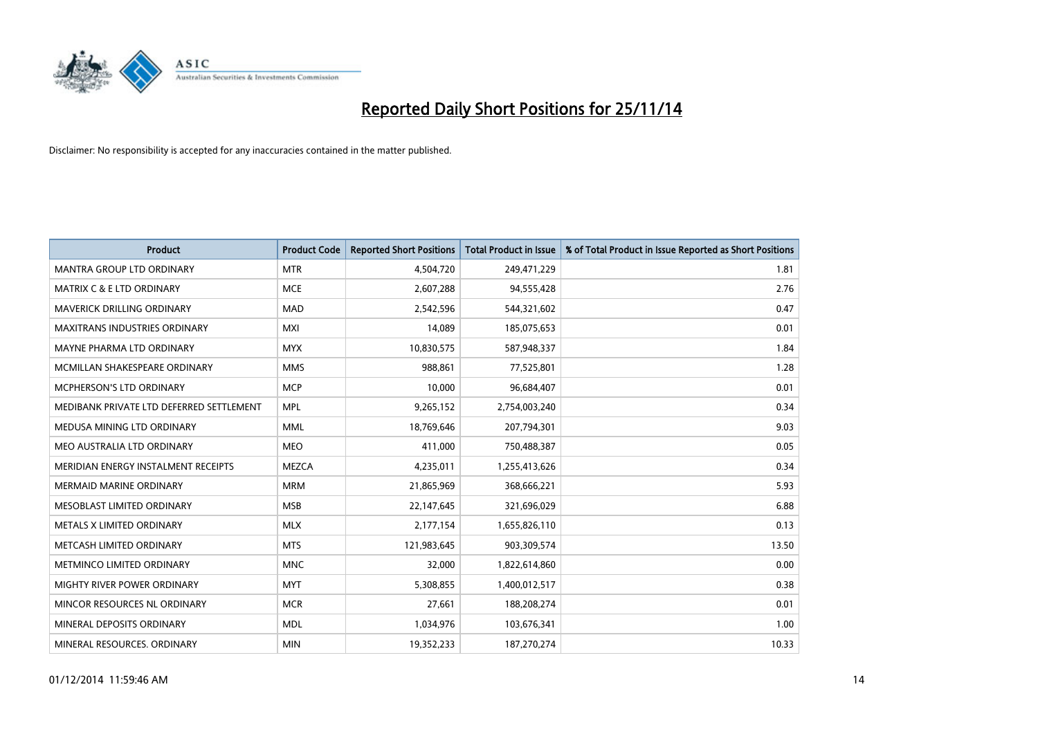

| <b>Product</b>                           | <b>Product Code</b> | <b>Reported Short Positions</b> | <b>Total Product in Issue</b> | % of Total Product in Issue Reported as Short Positions |
|------------------------------------------|---------------------|---------------------------------|-------------------------------|---------------------------------------------------------|
| <b>MANTRA GROUP LTD ORDINARY</b>         | <b>MTR</b>          | 4,504,720                       | 249,471,229                   | 1.81                                                    |
| <b>MATRIX C &amp; E LTD ORDINARY</b>     | <b>MCE</b>          | 2,607,288                       | 94,555,428                    | 2.76                                                    |
| MAVERICK DRILLING ORDINARY               | <b>MAD</b>          | 2,542,596                       | 544,321,602                   | 0.47                                                    |
| MAXITRANS INDUSTRIES ORDINARY            | <b>MXI</b>          | 14,089                          | 185,075,653                   | 0.01                                                    |
| MAYNE PHARMA LTD ORDINARY                | <b>MYX</b>          | 10,830,575                      | 587,948,337                   | 1.84                                                    |
| MCMILLAN SHAKESPEARE ORDINARY            | <b>MMS</b>          | 988,861                         | 77,525,801                    | 1.28                                                    |
| <b>MCPHERSON'S LTD ORDINARY</b>          | <b>MCP</b>          | 10,000                          | 96,684,407                    | 0.01                                                    |
| MEDIBANK PRIVATE LTD DEFERRED SETTLEMENT | <b>MPL</b>          | 9,265,152                       | 2,754,003,240                 | 0.34                                                    |
| MEDUSA MINING LTD ORDINARY               | <b>MML</b>          | 18,769,646                      | 207,794,301                   | 9.03                                                    |
| MEO AUSTRALIA LTD ORDINARY               | <b>MEO</b>          | 411,000                         | 750,488,387                   | 0.05                                                    |
| MERIDIAN ENERGY INSTALMENT RECEIPTS      | <b>MEZCA</b>        | 4,235,011                       | 1,255,413,626                 | 0.34                                                    |
| <b>MERMAID MARINE ORDINARY</b>           | <b>MRM</b>          | 21,865,969                      | 368,666,221                   | 5.93                                                    |
| MESOBLAST LIMITED ORDINARY               | <b>MSB</b>          | 22,147,645                      | 321,696,029                   | 6.88                                                    |
| METALS X LIMITED ORDINARY                | <b>MLX</b>          | 2,177,154                       | 1,655,826,110                 | 0.13                                                    |
| METCASH LIMITED ORDINARY                 | <b>MTS</b>          | 121,983,645                     | 903,309,574                   | 13.50                                                   |
| METMINCO LIMITED ORDINARY                | <b>MNC</b>          | 32,000                          | 1,822,614,860                 | 0.00                                                    |
| MIGHTY RIVER POWER ORDINARY              | <b>MYT</b>          | 5,308,855                       | 1,400,012,517                 | 0.38                                                    |
| MINCOR RESOURCES NL ORDINARY             | <b>MCR</b>          | 27,661                          | 188,208,274                   | 0.01                                                    |
| MINERAL DEPOSITS ORDINARY                | <b>MDL</b>          | 1,034,976                       | 103,676,341                   | 1.00                                                    |
| MINERAL RESOURCES. ORDINARY              | <b>MIN</b>          | 19,352,233                      | 187,270,274                   | 10.33                                                   |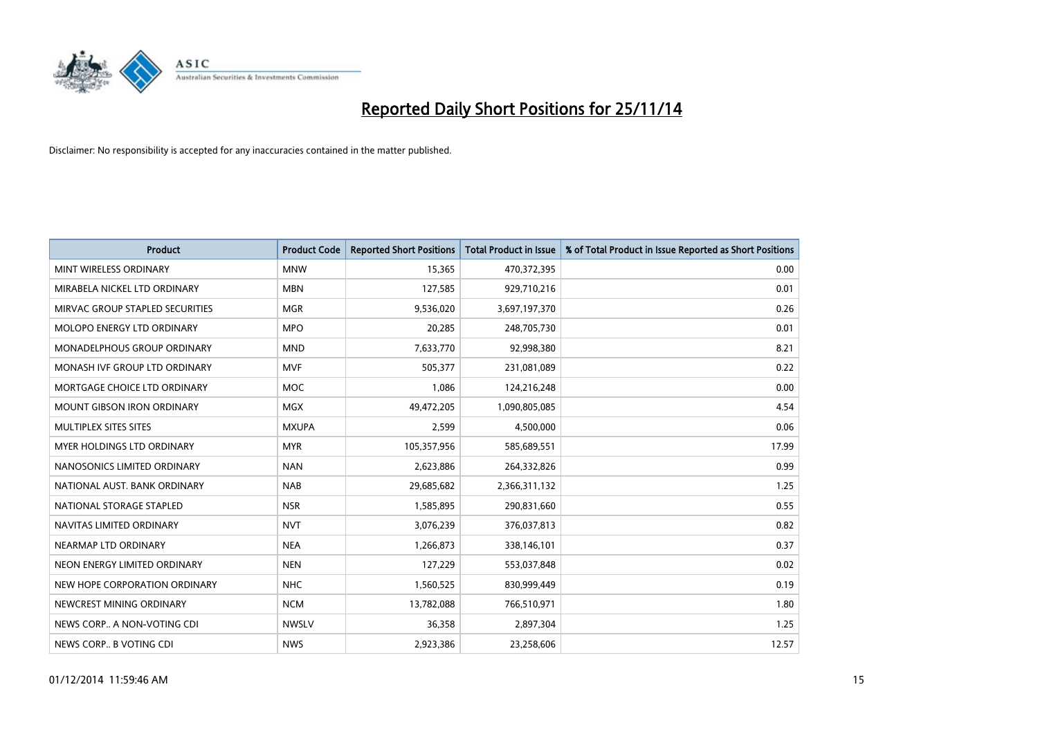

| <b>Product</b>                    | <b>Product Code</b> | <b>Reported Short Positions</b> | <b>Total Product in Issue</b> | % of Total Product in Issue Reported as Short Positions |
|-----------------------------------|---------------------|---------------------------------|-------------------------------|---------------------------------------------------------|
| MINT WIRELESS ORDINARY            | <b>MNW</b>          | 15,365                          | 470,372,395                   | 0.00                                                    |
| MIRABELA NICKEL LTD ORDINARY      | <b>MBN</b>          | 127,585                         | 929,710,216                   | 0.01                                                    |
| MIRVAC GROUP STAPLED SECURITIES   | <b>MGR</b>          | 9,536,020                       | 3,697,197,370                 | 0.26                                                    |
| MOLOPO ENERGY LTD ORDINARY        | <b>MPO</b>          | 20,285                          | 248,705,730                   | 0.01                                                    |
| MONADELPHOUS GROUP ORDINARY       | <b>MND</b>          | 7,633,770                       | 92,998,380                    | 8.21                                                    |
| MONASH IVF GROUP LTD ORDINARY     | <b>MVF</b>          | 505,377                         | 231,081,089                   | 0.22                                                    |
| MORTGAGE CHOICE LTD ORDINARY      | MOC                 | 1,086                           | 124,216,248                   | 0.00                                                    |
| <b>MOUNT GIBSON IRON ORDINARY</b> | <b>MGX</b>          | 49,472,205                      | 1,090,805,085                 | 4.54                                                    |
| MULTIPLEX SITES SITES             | <b>MXUPA</b>        | 2,599                           | 4,500,000                     | 0.06                                                    |
| MYER HOLDINGS LTD ORDINARY        | <b>MYR</b>          | 105,357,956                     | 585,689,551                   | 17.99                                                   |
| NANOSONICS LIMITED ORDINARY       | <b>NAN</b>          | 2,623,886                       | 264,332,826                   | 0.99                                                    |
| NATIONAL AUST. BANK ORDINARY      | <b>NAB</b>          | 29,685,682                      | 2,366,311,132                 | 1.25                                                    |
| NATIONAL STORAGE STAPLED          | <b>NSR</b>          | 1,585,895                       | 290,831,660                   | 0.55                                                    |
| NAVITAS LIMITED ORDINARY          | <b>NVT</b>          | 3,076,239                       | 376,037,813                   | 0.82                                                    |
| NEARMAP LTD ORDINARY              | <b>NEA</b>          | 1,266,873                       | 338,146,101                   | 0.37                                                    |
| NEON ENERGY LIMITED ORDINARY      | <b>NEN</b>          | 127,229                         | 553,037,848                   | 0.02                                                    |
| NEW HOPE CORPORATION ORDINARY     | <b>NHC</b>          | 1,560,525                       | 830,999,449                   | 0.19                                                    |
| NEWCREST MINING ORDINARY          | <b>NCM</b>          | 13,782,088                      | 766,510,971                   | 1.80                                                    |
| NEWS CORP A NON-VOTING CDI        | <b>NWSLV</b>        | 36,358                          | 2,897,304                     | 1.25                                                    |
| NEWS CORP B VOTING CDI            | <b>NWS</b>          | 2,923,386                       | 23,258,606                    | 12.57                                                   |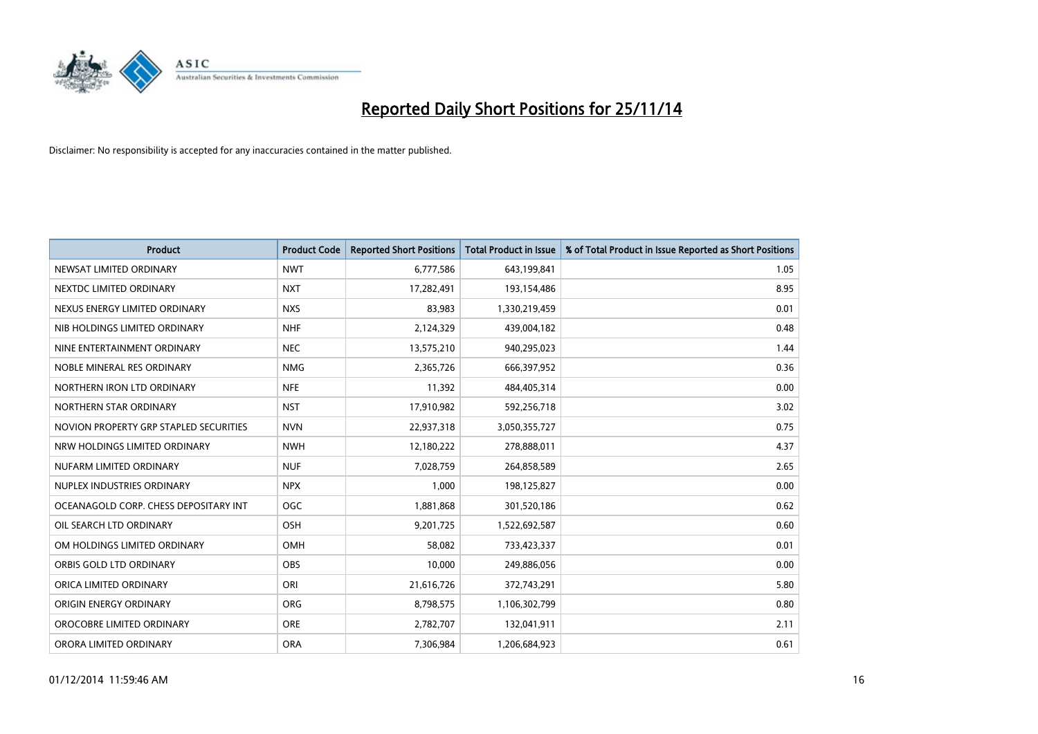

| <b>Product</b>                         | <b>Product Code</b> | <b>Reported Short Positions</b> | <b>Total Product in Issue</b> | % of Total Product in Issue Reported as Short Positions |
|----------------------------------------|---------------------|---------------------------------|-------------------------------|---------------------------------------------------------|
| NEWSAT LIMITED ORDINARY                | <b>NWT</b>          | 6,777,586                       | 643,199,841                   | 1.05                                                    |
| NEXTDC LIMITED ORDINARY                | <b>NXT</b>          | 17,282,491                      | 193,154,486                   | 8.95                                                    |
| NEXUS ENERGY LIMITED ORDINARY          | <b>NXS</b>          | 83,983                          | 1,330,219,459                 | 0.01                                                    |
| NIB HOLDINGS LIMITED ORDINARY          | <b>NHF</b>          | 2,124,329                       | 439,004,182                   | 0.48                                                    |
| NINE ENTERTAINMENT ORDINARY            | <b>NEC</b>          | 13,575,210                      | 940,295,023                   | 1.44                                                    |
| NOBLE MINERAL RES ORDINARY             | <b>NMG</b>          | 2,365,726                       | 666,397,952                   | 0.36                                                    |
| NORTHERN IRON LTD ORDINARY             | <b>NFE</b>          | 11,392                          | 484,405,314                   | 0.00                                                    |
| NORTHERN STAR ORDINARY                 | <b>NST</b>          | 17,910,982                      | 592,256,718                   | 3.02                                                    |
| NOVION PROPERTY GRP STAPLED SECURITIES | <b>NVN</b>          | 22,937,318                      | 3,050,355,727                 | 0.75                                                    |
| NRW HOLDINGS LIMITED ORDINARY          | <b>NWH</b>          | 12,180,222                      | 278,888,011                   | 4.37                                                    |
| NUFARM LIMITED ORDINARY                | <b>NUF</b>          | 7,028,759                       | 264,858,589                   | 2.65                                                    |
| NUPLEX INDUSTRIES ORDINARY             | <b>NPX</b>          | 1.000                           | 198,125,827                   | 0.00                                                    |
| OCEANAGOLD CORP. CHESS DEPOSITARY INT  | <b>OGC</b>          | 1,881,868                       | 301,520,186                   | 0.62                                                    |
| OIL SEARCH LTD ORDINARY                | OSH                 | 9,201,725                       | 1,522,692,587                 | 0.60                                                    |
| OM HOLDINGS LIMITED ORDINARY           | OMH                 | 58,082                          | 733,423,337                   | 0.01                                                    |
| ORBIS GOLD LTD ORDINARY                | <b>OBS</b>          | 10,000                          | 249,886,056                   | 0.00                                                    |
| ORICA LIMITED ORDINARY                 | ORI                 | 21,616,726                      | 372,743,291                   | 5.80                                                    |
| ORIGIN ENERGY ORDINARY                 | <b>ORG</b>          | 8,798,575                       | 1,106,302,799                 | 0.80                                                    |
| OROCOBRE LIMITED ORDINARY              | <b>ORE</b>          | 2,782,707                       | 132,041,911                   | 2.11                                                    |
| ORORA LIMITED ORDINARY                 | <b>ORA</b>          | 7,306,984                       | 1,206,684,923                 | 0.61                                                    |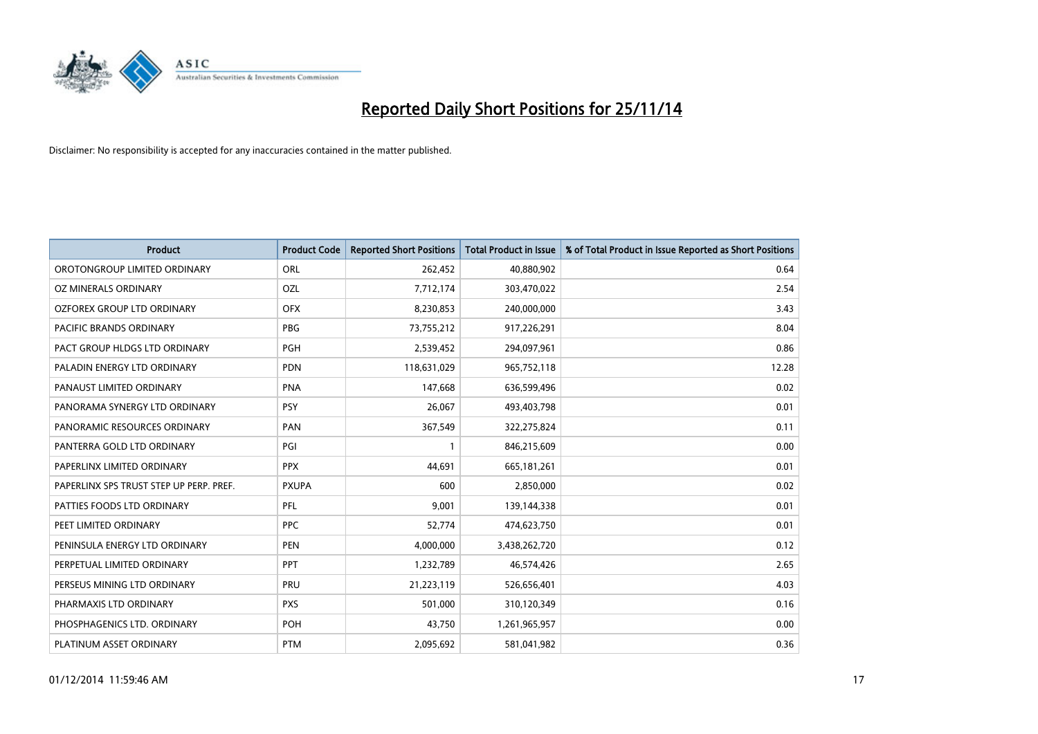

| <b>Product</b>                          | <b>Product Code</b> | <b>Reported Short Positions</b> | <b>Total Product in Issue</b> | % of Total Product in Issue Reported as Short Positions |
|-----------------------------------------|---------------------|---------------------------------|-------------------------------|---------------------------------------------------------|
| OROTONGROUP LIMITED ORDINARY            | ORL                 | 262,452                         | 40,880,902                    | 0.64                                                    |
| OZ MINERALS ORDINARY                    | OZL                 | 7,712,174                       | 303,470,022                   | 2.54                                                    |
| OZFOREX GROUP LTD ORDINARY              | <b>OFX</b>          | 8,230,853                       | 240,000,000                   | 3.43                                                    |
| PACIFIC BRANDS ORDINARY                 | <b>PBG</b>          | 73,755,212                      | 917,226,291                   | 8.04                                                    |
| PACT GROUP HLDGS LTD ORDINARY           | <b>PGH</b>          | 2,539,452                       | 294,097,961                   | 0.86                                                    |
| PALADIN ENERGY LTD ORDINARY             | <b>PDN</b>          | 118,631,029                     | 965,752,118                   | 12.28                                                   |
| PANAUST LIMITED ORDINARY                | <b>PNA</b>          | 147,668                         | 636,599,496                   | 0.02                                                    |
| PANORAMA SYNERGY LTD ORDINARY           | <b>PSY</b>          | 26,067                          | 493,403,798                   | 0.01                                                    |
| PANORAMIC RESOURCES ORDINARY            | PAN                 | 367,549                         | 322,275,824                   | 0.11                                                    |
| PANTERRA GOLD LTD ORDINARY              | PGI                 | $\mathbf{1}$                    | 846,215,609                   | 0.00                                                    |
| PAPERLINX LIMITED ORDINARY              | <b>PPX</b>          | 44,691                          | 665, 181, 261                 | 0.01                                                    |
| PAPERLINX SPS TRUST STEP UP PERP. PREF. | <b>PXUPA</b>        | 600                             | 2,850,000                     | 0.02                                                    |
| PATTIES FOODS LTD ORDINARY              | <b>PFL</b>          | 9,001                           | 139,144,338                   | 0.01                                                    |
| PEET LIMITED ORDINARY                   | <b>PPC</b>          | 52,774                          | 474,623,750                   | 0.01                                                    |
| PENINSULA ENERGY LTD ORDINARY           | <b>PEN</b>          | 4,000,000                       | 3,438,262,720                 | 0.12                                                    |
| PERPETUAL LIMITED ORDINARY              | <b>PPT</b>          | 1,232,789                       | 46,574,426                    | 2.65                                                    |
| PERSEUS MINING LTD ORDINARY             | PRU                 | 21,223,119                      | 526,656,401                   | 4.03                                                    |
| PHARMAXIS LTD ORDINARY                  | <b>PXS</b>          | 501,000                         | 310,120,349                   | 0.16                                                    |
| PHOSPHAGENICS LTD. ORDINARY             | POH                 | 43,750                          | 1,261,965,957                 | 0.00                                                    |
| PLATINUM ASSET ORDINARY                 | <b>PTM</b>          | 2,095,692                       | 581,041,982                   | 0.36                                                    |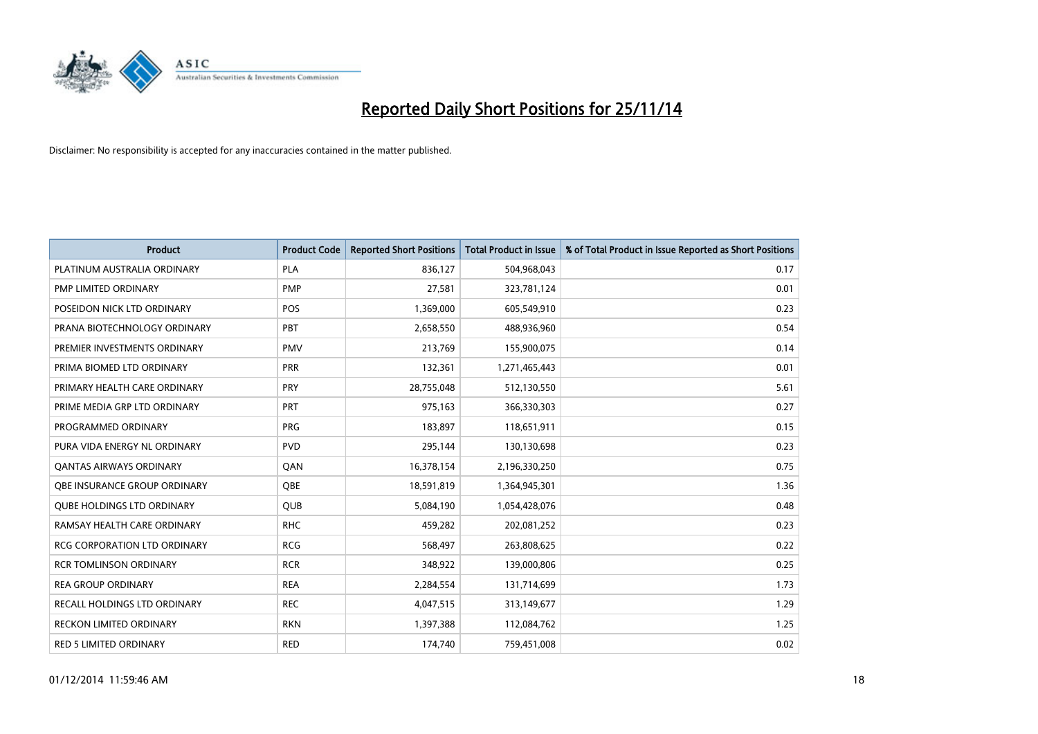

| <b>Product</b>                      | <b>Product Code</b> | <b>Reported Short Positions</b> | <b>Total Product in Issue</b> | % of Total Product in Issue Reported as Short Positions |
|-------------------------------------|---------------------|---------------------------------|-------------------------------|---------------------------------------------------------|
| PLATINUM AUSTRALIA ORDINARY         | <b>PLA</b>          | 836,127                         | 504,968,043                   | 0.17                                                    |
| PMP LIMITED ORDINARY                | <b>PMP</b>          | 27,581                          | 323,781,124                   | 0.01                                                    |
| POSEIDON NICK LTD ORDINARY          | POS                 | 1,369,000                       | 605,549,910                   | 0.23                                                    |
| PRANA BIOTECHNOLOGY ORDINARY        | PBT                 | 2,658,550                       | 488,936,960                   | 0.54                                                    |
| PREMIER INVESTMENTS ORDINARY        | <b>PMV</b>          | 213,769                         | 155,900,075                   | 0.14                                                    |
| PRIMA BIOMED LTD ORDINARY           | PRR                 | 132,361                         | 1,271,465,443                 | 0.01                                                    |
| PRIMARY HEALTH CARE ORDINARY        | <b>PRY</b>          | 28,755,048                      | 512,130,550                   | 5.61                                                    |
| PRIME MEDIA GRP LTD ORDINARY        | <b>PRT</b>          | 975,163                         | 366,330,303                   | 0.27                                                    |
| PROGRAMMED ORDINARY                 | <b>PRG</b>          | 183.897                         | 118,651,911                   | 0.15                                                    |
| PURA VIDA ENERGY NL ORDINARY        | <b>PVD</b>          | 295,144                         | 130,130,698                   | 0.23                                                    |
| <b>QANTAS AIRWAYS ORDINARY</b>      | QAN                 | 16,378,154                      | 2,196,330,250                 | 0.75                                                    |
| OBE INSURANCE GROUP ORDINARY        | <b>OBE</b>          | 18,591,819                      | 1,364,945,301                 | 1.36                                                    |
| <b>QUBE HOLDINGS LTD ORDINARY</b>   | <b>QUB</b>          | 5,084,190                       | 1,054,428,076                 | 0.48                                                    |
| RAMSAY HEALTH CARE ORDINARY         | <b>RHC</b>          | 459,282                         | 202,081,252                   | 0.23                                                    |
| <b>RCG CORPORATION LTD ORDINARY</b> | <b>RCG</b>          | 568,497                         | 263,808,625                   | 0.22                                                    |
| <b>RCR TOMLINSON ORDINARY</b>       | <b>RCR</b>          | 348,922                         | 139,000,806                   | 0.25                                                    |
| <b>REA GROUP ORDINARY</b>           | <b>REA</b>          | 2,284,554                       | 131,714,699                   | 1.73                                                    |
| <b>RECALL HOLDINGS LTD ORDINARY</b> | <b>REC</b>          | 4,047,515                       | 313,149,677                   | 1.29                                                    |
| <b>RECKON LIMITED ORDINARY</b>      | <b>RKN</b>          | 1,397,388                       | 112,084,762                   | 1.25                                                    |
| RED 5 LIMITED ORDINARY              | <b>RED</b>          | 174,740                         | 759,451,008                   | 0.02                                                    |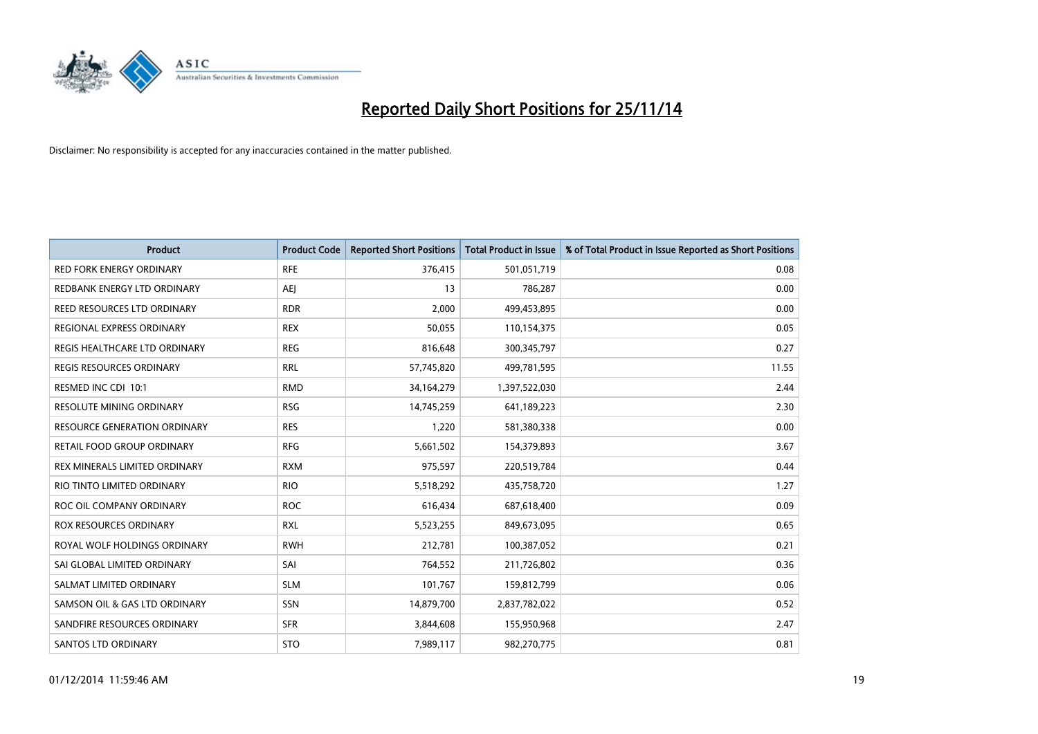

| <b>Product</b>                  | <b>Product Code</b> | <b>Reported Short Positions</b> | <b>Total Product in Issue</b> | % of Total Product in Issue Reported as Short Positions |
|---------------------------------|---------------------|---------------------------------|-------------------------------|---------------------------------------------------------|
| <b>RED FORK ENERGY ORDINARY</b> | <b>RFE</b>          | 376,415                         | 501,051,719                   | 0.08                                                    |
| REDBANK ENERGY LTD ORDINARY     | AEJ                 | 13                              | 786,287                       | 0.00                                                    |
| REED RESOURCES LTD ORDINARY     | <b>RDR</b>          | 2,000                           | 499,453,895                   | 0.00                                                    |
| REGIONAL EXPRESS ORDINARY       | <b>REX</b>          | 50,055                          | 110,154,375                   | 0.05                                                    |
| REGIS HEALTHCARE LTD ORDINARY   | <b>REG</b>          | 816,648                         | 300, 345, 797                 | 0.27                                                    |
| <b>REGIS RESOURCES ORDINARY</b> | <b>RRL</b>          | 57,745,820                      | 499,781,595                   | 11.55                                                   |
| RESMED INC CDI 10:1             | <b>RMD</b>          | 34,164,279                      | 1,397,522,030                 | 2.44                                                    |
| RESOLUTE MINING ORDINARY        | <b>RSG</b>          | 14,745,259                      | 641,189,223                   | 2.30                                                    |
| RESOURCE GENERATION ORDINARY    | <b>RES</b>          | 1,220                           | 581,380,338                   | 0.00                                                    |
| RETAIL FOOD GROUP ORDINARY      | <b>RFG</b>          | 5,661,502                       | 154,379,893                   | 3.67                                                    |
| REX MINERALS LIMITED ORDINARY   | <b>RXM</b>          | 975,597                         | 220,519,784                   | 0.44                                                    |
| RIO TINTO LIMITED ORDINARY      | <b>RIO</b>          | 5,518,292                       | 435,758,720                   | 1.27                                                    |
| ROC OIL COMPANY ORDINARY        | <b>ROC</b>          | 616,434                         | 687,618,400                   | 0.09                                                    |
| ROX RESOURCES ORDINARY          | <b>RXL</b>          | 5,523,255                       | 849,673,095                   | 0.65                                                    |
| ROYAL WOLF HOLDINGS ORDINARY    | <b>RWH</b>          | 212,781                         | 100,387,052                   | 0.21                                                    |
| SAI GLOBAL LIMITED ORDINARY     | SAI                 | 764,552                         | 211,726,802                   | 0.36                                                    |
| SALMAT LIMITED ORDINARY         | <b>SLM</b>          | 101,767                         | 159,812,799                   | 0.06                                                    |
| SAMSON OIL & GAS LTD ORDINARY   | SSN                 | 14,879,700                      | 2,837,782,022                 | 0.52                                                    |
| SANDFIRE RESOURCES ORDINARY     | <b>SFR</b>          | 3,844,608                       | 155,950,968                   | 2.47                                                    |
| <b>SANTOS LTD ORDINARY</b>      | <b>STO</b>          | 7,989,117                       | 982,270,775                   | 0.81                                                    |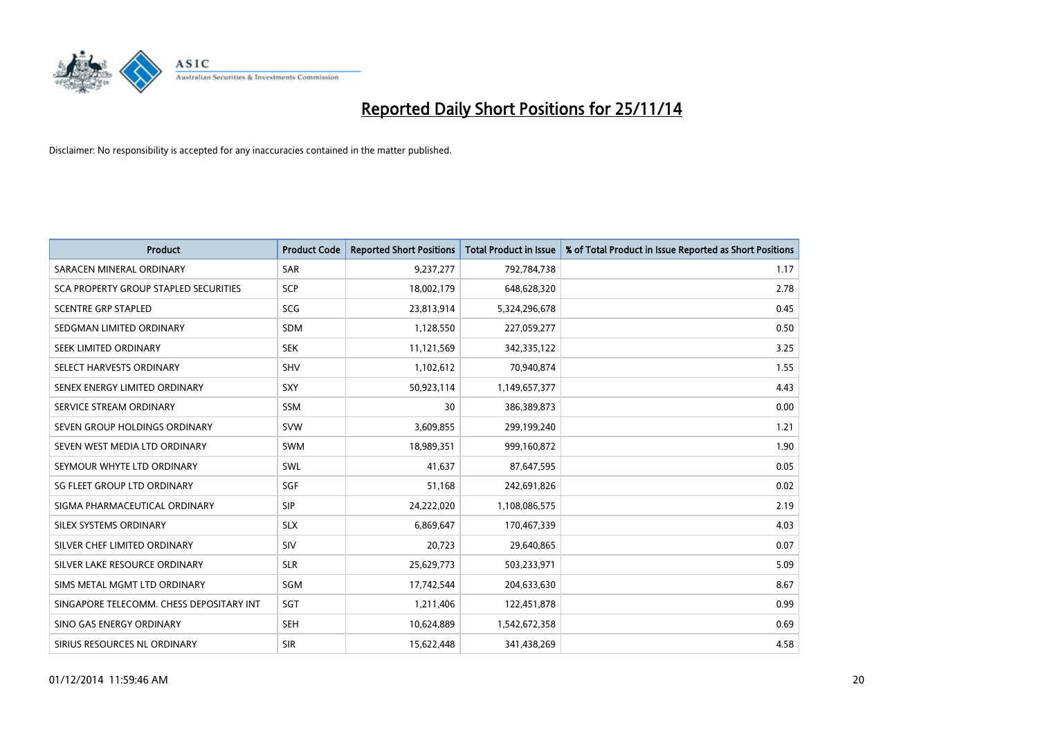

| <b>Product</b>                           | <b>Product Code</b> | <b>Reported Short Positions</b> | <b>Total Product in Issue</b> | % of Total Product in Issue Reported as Short Positions |
|------------------------------------------|---------------------|---------------------------------|-------------------------------|---------------------------------------------------------|
| SARACEN MINERAL ORDINARY                 | SAR                 | 9,237,277                       | 792,784,738                   | 1.17                                                    |
| SCA PROPERTY GROUP STAPLED SECURITIES    | <b>SCP</b>          | 18,002,179                      | 648,628,320                   | 2.78                                                    |
| <b>SCENTRE GRP STAPLED</b>               | <b>SCG</b>          | 23,813,914                      | 5,324,296,678                 | 0.45                                                    |
| SEDGMAN LIMITED ORDINARY                 | SDM                 | 1,128,550                       | 227,059,277                   | 0.50                                                    |
| SEEK LIMITED ORDINARY                    | <b>SEK</b>          | 11,121,569                      | 342,335,122                   | 3.25                                                    |
| SELECT HARVESTS ORDINARY                 | SHV                 | 1,102,612                       | 70,940,874                    | 1.55                                                    |
| SENEX ENERGY LIMITED ORDINARY            | <b>SXY</b>          | 50,923,114                      | 1,149,657,377                 | 4.43                                                    |
| SERVICE STREAM ORDINARY                  | <b>SSM</b>          | 30                              | 386,389,873                   | 0.00                                                    |
| SEVEN GROUP HOLDINGS ORDINARY            | <b>SVW</b>          | 3,609,855                       | 299,199,240                   | 1.21                                                    |
| SEVEN WEST MEDIA LTD ORDINARY            | <b>SWM</b>          | 18,989,351                      | 999,160,872                   | 1.90                                                    |
| SEYMOUR WHYTE LTD ORDINARY               | SWL                 | 41,637                          | 87,647,595                    | 0.05                                                    |
| SG FLEET GROUP LTD ORDINARY              | SGF                 | 51,168                          | 242,691,826                   | 0.02                                                    |
| SIGMA PHARMACEUTICAL ORDINARY            | <b>SIP</b>          | 24,222,020                      | 1,108,086,575                 | 2.19                                                    |
| SILEX SYSTEMS ORDINARY                   | <b>SLX</b>          | 6,869,647                       | 170,467,339                   | 4.03                                                    |
| SILVER CHEF LIMITED ORDINARY             | SIV                 | 20,723                          | 29,640,865                    | 0.07                                                    |
| SILVER LAKE RESOURCE ORDINARY            | <b>SLR</b>          | 25,629,773                      | 503,233,971                   | 5.09                                                    |
| SIMS METAL MGMT LTD ORDINARY             | SGM                 | 17,742,544                      | 204,633,630                   | 8.67                                                    |
| SINGAPORE TELECOMM. CHESS DEPOSITARY INT | SGT                 | 1,211,406                       | 122,451,878                   | 0.99                                                    |
| SINO GAS ENERGY ORDINARY                 | <b>SEH</b>          | 10,624,889                      | 1,542,672,358                 | 0.69                                                    |
| SIRIUS RESOURCES NL ORDINARY             | <b>SIR</b>          | 15,622,448                      | 341,438,269                   | 4.58                                                    |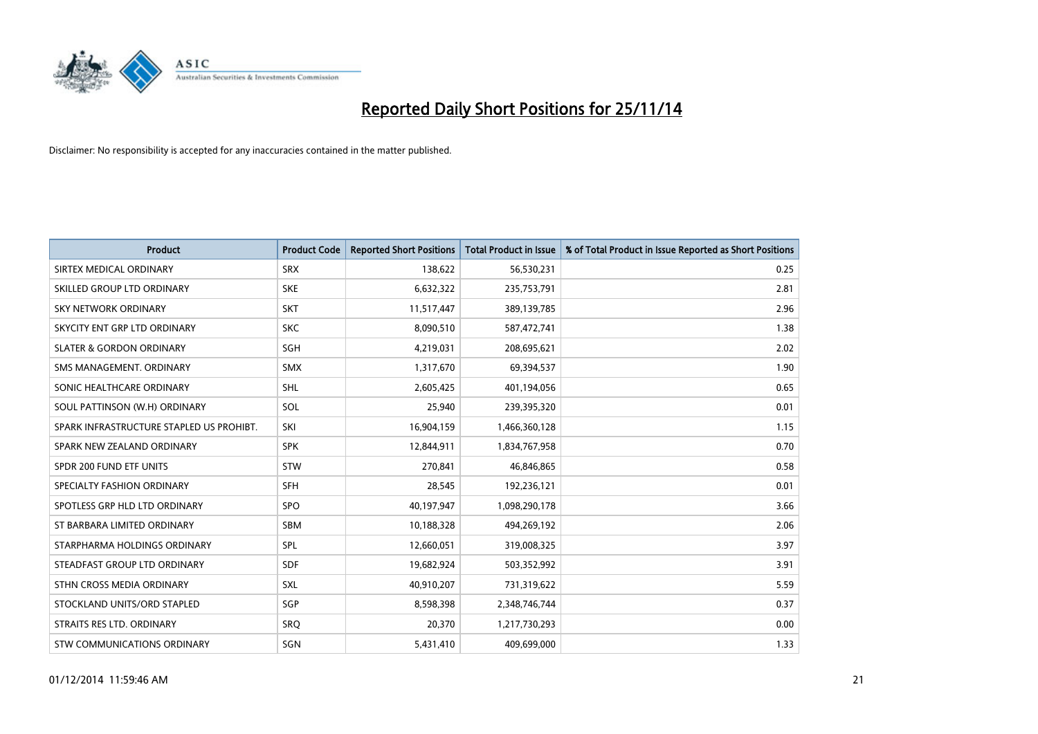

| <b>Product</b>                           | <b>Product Code</b> | <b>Reported Short Positions</b> | <b>Total Product in Issue</b> | % of Total Product in Issue Reported as Short Positions |
|------------------------------------------|---------------------|---------------------------------|-------------------------------|---------------------------------------------------------|
| SIRTEX MEDICAL ORDINARY                  | <b>SRX</b>          | 138,622                         | 56,530,231                    | 0.25                                                    |
| SKILLED GROUP LTD ORDINARY               | <b>SKE</b>          | 6,632,322                       | 235,753,791                   | 2.81                                                    |
| <b>SKY NETWORK ORDINARY</b>              | <b>SKT</b>          | 11,517,447                      | 389,139,785                   | 2.96                                                    |
| SKYCITY ENT GRP LTD ORDINARY             | <b>SKC</b>          | 8,090,510                       | 587,472,741                   | 1.38                                                    |
| <b>SLATER &amp; GORDON ORDINARY</b>      | SGH                 | 4,219,031                       | 208,695,621                   | 2.02                                                    |
| SMS MANAGEMENT, ORDINARY                 | <b>SMX</b>          | 1,317,670                       | 69,394,537                    | 1.90                                                    |
| SONIC HEALTHCARE ORDINARY                | <b>SHL</b>          | 2,605,425                       | 401,194,056                   | 0.65                                                    |
| SOUL PATTINSON (W.H) ORDINARY            | SOL                 | 25,940                          | 239,395,320                   | 0.01                                                    |
| SPARK INFRASTRUCTURE STAPLED US PROHIBT. | SKI                 | 16,904,159                      | 1,466,360,128                 | 1.15                                                    |
| SPARK NEW ZEALAND ORDINARY               | <b>SPK</b>          | 12,844,911                      | 1,834,767,958                 | 0.70                                                    |
| SPDR 200 FUND ETF UNITS                  | <b>STW</b>          | 270,841                         | 46,846,865                    | 0.58                                                    |
| SPECIALTY FASHION ORDINARY               | <b>SFH</b>          | 28,545                          | 192,236,121                   | 0.01                                                    |
| SPOTLESS GRP HLD LTD ORDINARY            | <b>SPO</b>          | 40,197,947                      | 1,098,290,178                 | 3.66                                                    |
| ST BARBARA LIMITED ORDINARY              | <b>SBM</b>          | 10,188,328                      | 494,269,192                   | 2.06                                                    |
| STARPHARMA HOLDINGS ORDINARY             | <b>SPL</b>          | 12,660,051                      | 319,008,325                   | 3.97                                                    |
| STEADFAST GROUP LTD ORDINARY             | SDF                 | 19,682,924                      | 503,352,992                   | 3.91                                                    |
| STHN CROSS MEDIA ORDINARY                | SXL                 | 40,910,207                      | 731,319,622                   | 5.59                                                    |
| STOCKLAND UNITS/ORD STAPLED              | SGP                 | 8,598,398                       | 2,348,746,744                 | 0.37                                                    |
| STRAITS RES LTD. ORDINARY                | SRQ                 | 20,370                          | 1,217,730,293                 | 0.00                                                    |
| STW COMMUNICATIONS ORDINARY              | SGN                 | 5,431,410                       | 409,699,000                   | 1.33                                                    |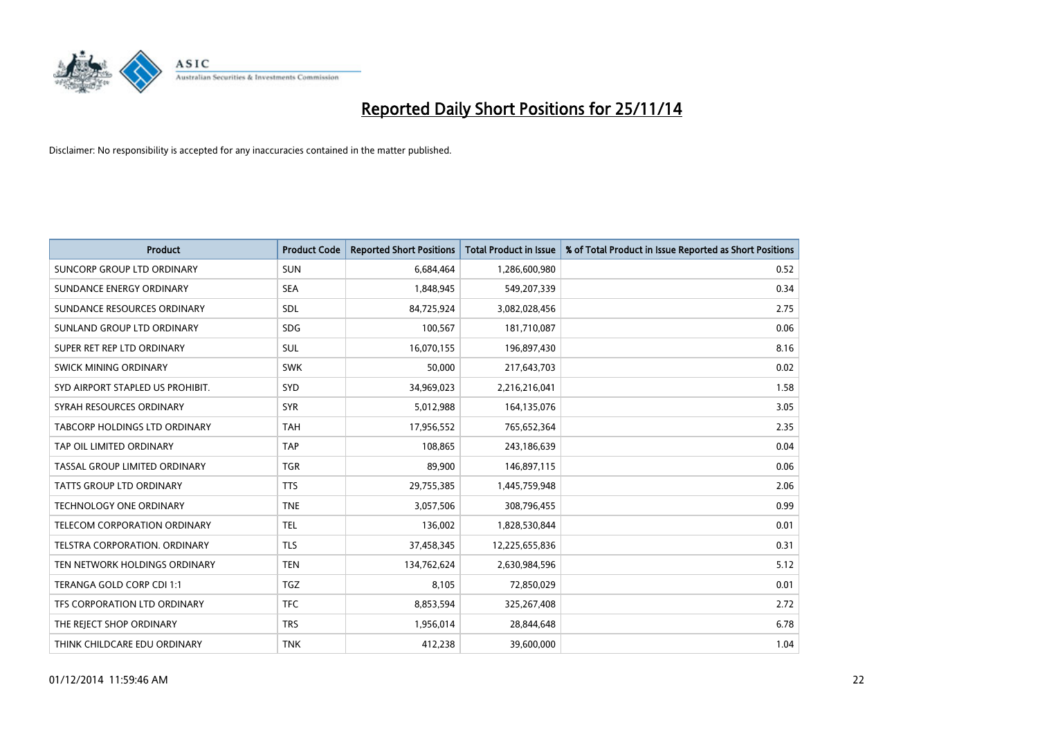

| <b>Product</b>                   | <b>Product Code</b> | <b>Reported Short Positions</b> | <b>Total Product in Issue</b> | % of Total Product in Issue Reported as Short Positions |
|----------------------------------|---------------------|---------------------------------|-------------------------------|---------------------------------------------------------|
| SUNCORP GROUP LTD ORDINARY       | <b>SUN</b>          | 6,684,464                       | 1,286,600,980                 | 0.52                                                    |
| SUNDANCE ENERGY ORDINARY         | <b>SEA</b>          | 1,848,945                       | 549,207,339                   | 0.34                                                    |
| SUNDANCE RESOURCES ORDINARY      | <b>SDL</b>          | 84,725,924                      | 3,082,028,456                 | 2.75                                                    |
| SUNLAND GROUP LTD ORDINARY       | <b>SDG</b>          | 100,567                         | 181,710,087                   | 0.06                                                    |
| SUPER RET REP LTD ORDINARY       | SUL                 | 16,070,155                      | 196,897,430                   | 8.16                                                    |
| SWICK MINING ORDINARY            | <b>SWK</b>          | 50,000                          | 217,643,703                   | 0.02                                                    |
| SYD AIRPORT STAPLED US PROHIBIT. | SYD                 | 34,969,023                      | 2,216,216,041                 | 1.58                                                    |
| SYRAH RESOURCES ORDINARY         | <b>SYR</b>          | 5,012,988                       | 164,135,076                   | 3.05                                                    |
| TABCORP HOLDINGS LTD ORDINARY    | <b>TAH</b>          | 17,956,552                      | 765,652,364                   | 2.35                                                    |
| TAP OIL LIMITED ORDINARY         | <b>TAP</b>          | 108,865                         | 243,186,639                   | 0.04                                                    |
| TASSAL GROUP LIMITED ORDINARY    | <b>TGR</b>          | 89,900                          | 146,897,115                   | 0.06                                                    |
| <b>TATTS GROUP LTD ORDINARY</b>  | <b>TTS</b>          | 29,755,385                      | 1,445,759,948                 | 2.06                                                    |
| <b>TECHNOLOGY ONE ORDINARY</b>   | <b>TNE</b>          | 3,057,506                       | 308,796,455                   | 0.99                                                    |
| TELECOM CORPORATION ORDINARY     | <b>TEL</b>          | 136,002                         | 1,828,530,844                 | 0.01                                                    |
| TELSTRA CORPORATION, ORDINARY    | <b>TLS</b>          | 37,458,345                      | 12,225,655,836                | 0.31                                                    |
| TEN NETWORK HOLDINGS ORDINARY    | <b>TEN</b>          | 134,762,624                     | 2,630,984,596                 | 5.12                                                    |
| TERANGA GOLD CORP CDI 1:1        | TGZ                 | 8,105                           | 72,850,029                    | 0.01                                                    |
| TFS CORPORATION LTD ORDINARY     | <b>TFC</b>          | 8,853,594                       | 325,267,408                   | 2.72                                                    |
| THE REJECT SHOP ORDINARY         | <b>TRS</b>          | 1,956,014                       | 28,844,648                    | 6.78                                                    |
| THINK CHILDCARE EDU ORDINARY     | <b>TNK</b>          | 412,238                         | 39,600,000                    | 1.04                                                    |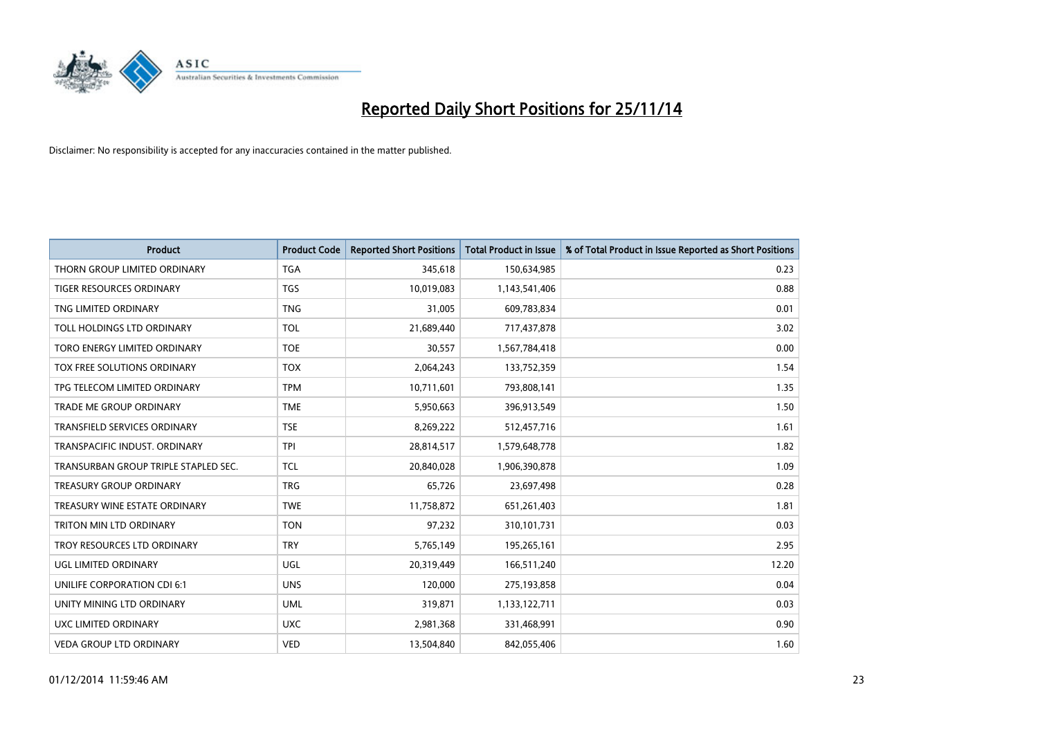

| <b>Product</b>                       | <b>Product Code</b> | <b>Reported Short Positions</b> | <b>Total Product in Issue</b> | % of Total Product in Issue Reported as Short Positions |
|--------------------------------------|---------------------|---------------------------------|-------------------------------|---------------------------------------------------------|
| THORN GROUP LIMITED ORDINARY         | <b>TGA</b>          | 345,618                         | 150,634,985                   | 0.23                                                    |
| TIGER RESOURCES ORDINARY             | <b>TGS</b>          | 10,019,083                      | 1,143,541,406                 | 0.88                                                    |
| TNG LIMITED ORDINARY                 | <b>TNG</b>          | 31,005                          | 609,783,834                   | 0.01                                                    |
| TOLL HOLDINGS LTD ORDINARY           | <b>TOL</b>          | 21,689,440                      | 717,437,878                   | 3.02                                                    |
| TORO ENERGY LIMITED ORDINARY         | <b>TOE</b>          | 30,557                          | 1,567,784,418                 | 0.00                                                    |
| <b>TOX FREE SOLUTIONS ORDINARY</b>   | <b>TOX</b>          | 2,064,243                       | 133,752,359                   | 1.54                                                    |
| TPG TELECOM LIMITED ORDINARY         | <b>TPM</b>          | 10,711,601                      | 793,808,141                   | 1.35                                                    |
| TRADE ME GROUP ORDINARY              | <b>TME</b>          | 5,950,663                       | 396,913,549                   | 1.50                                                    |
| <b>TRANSFIELD SERVICES ORDINARY</b>  | <b>TSE</b>          | 8,269,222                       | 512,457,716                   | 1.61                                                    |
| TRANSPACIFIC INDUST, ORDINARY        | <b>TPI</b>          | 28,814,517                      | 1,579,648,778                 | 1.82                                                    |
| TRANSURBAN GROUP TRIPLE STAPLED SEC. | TCL                 | 20,840,028                      | 1,906,390,878                 | 1.09                                                    |
| <b>TREASURY GROUP ORDINARY</b>       | <b>TRG</b>          | 65,726                          | 23,697,498                    | 0.28                                                    |
| TREASURY WINE ESTATE ORDINARY        | <b>TWE</b>          | 11,758,872                      | 651,261,403                   | 1.81                                                    |
| <b>TRITON MIN LTD ORDINARY</b>       | <b>TON</b>          | 97,232                          | 310,101,731                   | 0.03                                                    |
| TROY RESOURCES LTD ORDINARY          | <b>TRY</b>          | 5,765,149                       | 195,265,161                   | 2.95                                                    |
| UGL LIMITED ORDINARY                 | UGL                 | 20,319,449                      | 166,511,240                   | 12.20                                                   |
| UNILIFE CORPORATION CDI 6:1          | <b>UNS</b>          | 120,000                         | 275,193,858                   | 0.04                                                    |
| UNITY MINING LTD ORDINARY            | <b>UML</b>          | 319,871                         | 1,133,122,711                 | 0.03                                                    |
| UXC LIMITED ORDINARY                 | <b>UXC</b>          | 2,981,368                       | 331,468,991                   | 0.90                                                    |
| VEDA GROUP LTD ORDINARY              | <b>VED</b>          | 13,504,840                      | 842,055,406                   | 1.60                                                    |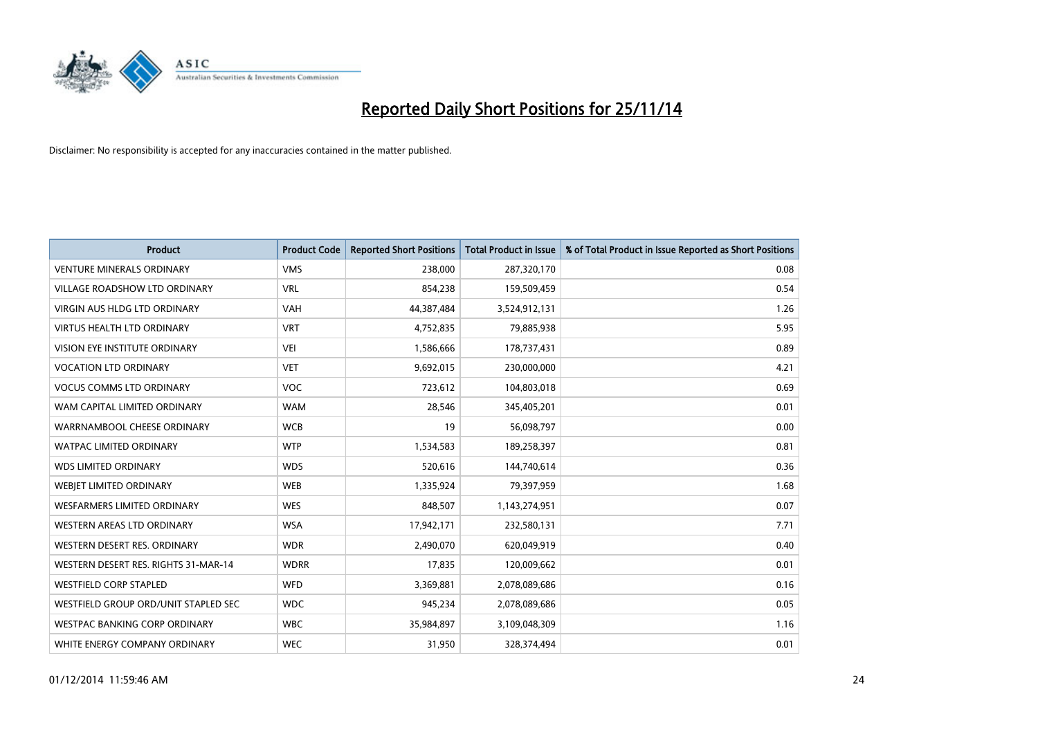

| <b>Product</b>                       | <b>Product Code</b> | <b>Reported Short Positions</b> | <b>Total Product in Issue</b> | % of Total Product in Issue Reported as Short Positions |
|--------------------------------------|---------------------|---------------------------------|-------------------------------|---------------------------------------------------------|
| <b>VENTURE MINERALS ORDINARY</b>     | <b>VMS</b>          | 238,000                         | 287,320,170                   | 0.08                                                    |
| VILLAGE ROADSHOW LTD ORDINARY        | <b>VRL</b>          | 854,238                         | 159,509,459                   | 0.54                                                    |
| <b>VIRGIN AUS HLDG LTD ORDINARY</b>  | <b>VAH</b>          | 44,387,484                      | 3,524,912,131                 | 1.26                                                    |
| <b>VIRTUS HEALTH LTD ORDINARY</b>    | <b>VRT</b>          | 4,752,835                       | 79,885,938                    | 5.95                                                    |
| <b>VISION EYE INSTITUTE ORDINARY</b> | <b>VEI</b>          | 1,586,666                       | 178,737,431                   | 0.89                                                    |
| <b>VOCATION LTD ORDINARY</b>         | <b>VET</b>          | 9,692,015                       | 230,000,000                   | 4.21                                                    |
| <b>VOCUS COMMS LTD ORDINARY</b>      | <b>VOC</b>          | 723,612                         | 104,803,018                   | 0.69                                                    |
| WAM CAPITAL LIMITED ORDINARY         | <b>WAM</b>          | 28,546                          | 345,405,201                   | 0.01                                                    |
| WARRNAMBOOL CHEESE ORDINARY          | <b>WCB</b>          | 19                              | 56,098,797                    | 0.00                                                    |
| <b>WATPAC LIMITED ORDINARY</b>       | <b>WTP</b>          | 1,534,583                       | 189,258,397                   | 0.81                                                    |
| <b>WDS LIMITED ORDINARY</b>          | <b>WDS</b>          | 520,616                         | 144,740,614                   | 0.36                                                    |
| WEBIET LIMITED ORDINARY              | <b>WEB</b>          | 1,335,924                       | 79,397,959                    | 1.68                                                    |
| <b>WESFARMERS LIMITED ORDINARY</b>   | <b>WES</b>          | 848,507                         | 1,143,274,951                 | 0.07                                                    |
| WESTERN AREAS LTD ORDINARY           | <b>WSA</b>          | 17,942,171                      | 232,580,131                   | 7.71                                                    |
| WESTERN DESERT RES. ORDINARY         | <b>WDR</b>          | 2,490,070                       | 620,049,919                   | 0.40                                                    |
| WESTERN DESERT RES. RIGHTS 31-MAR-14 | <b>WDRR</b>         | 17,835                          | 120,009,662                   | 0.01                                                    |
| <b>WESTFIELD CORP STAPLED</b>        | WFD                 | 3,369,881                       | 2,078,089,686                 | 0.16                                                    |
| WESTFIELD GROUP ORD/UNIT STAPLED SEC | <b>WDC</b>          | 945,234                         | 2,078,089,686                 | 0.05                                                    |
| <b>WESTPAC BANKING CORP ORDINARY</b> | <b>WBC</b>          | 35,984,897                      | 3,109,048,309                 | 1.16                                                    |
| WHITE ENERGY COMPANY ORDINARY        | <b>WEC</b>          | 31,950                          | 328,374,494                   | 0.01                                                    |